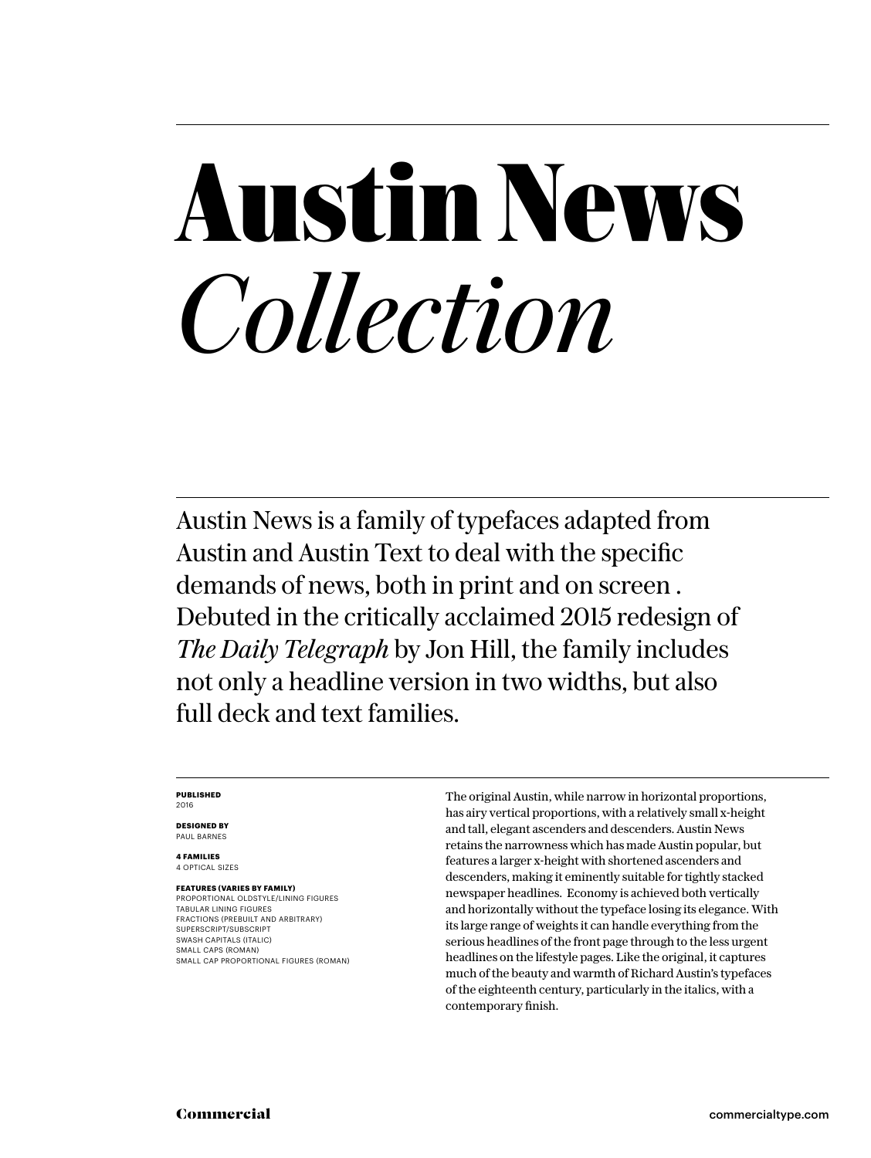# **Austin News** *Collection*

Austin News is a family of typefaces adapted from Austin and Austin Text to deal with the specific demands of news, both in print and on screen . Debuted in the critically acclaimed 2015 redesign of *The Daily Telegraph* by Jon Hill, the family includes not only a headline version in two widths, but also full deck and text families.

#### **PUBLISHED** 2016

**DESIGNED BY** PAUL BARNES

### **4 FAMILIES**

4 OPTICAL SIZES

**FEATURES (VARIES BY FAMILY)** PROPORTIONAL OLDSTYLE/LINING FIGURES TABULAR LINING FIGURES FRACTIONS (PREBUILT AND ARBITRARY) SUPERSCRIPT/SUBSCRIPT SWASH CAPITALS (ITALIC) SMALL CAPS (ROMAN) SMALL CAP PROPORTIONAL FIGURES (ROMAN) The original Austin, while narrow in horizontal proportions, has airy vertical proportions, with a relatively small x-height and tall, elegant ascenders and descenders. Austin News retains the narrowness which has made Austin popular, but features a larger x-height with shortened ascenders and descenders, making it eminently suitable for tightly stacked newspaper headlines. Economy is achieved both vertically and horizontally without the typeface losing its elegance. With its large range of weights it can handle everything from the serious headlines of the front page through to the less urgent headlines on the lifestyle pages. Like the original, it captures much of the beauty and warmth of Richard Austin's typefaces of the eighteenth century, particularly in the italics, with a contemporary finish.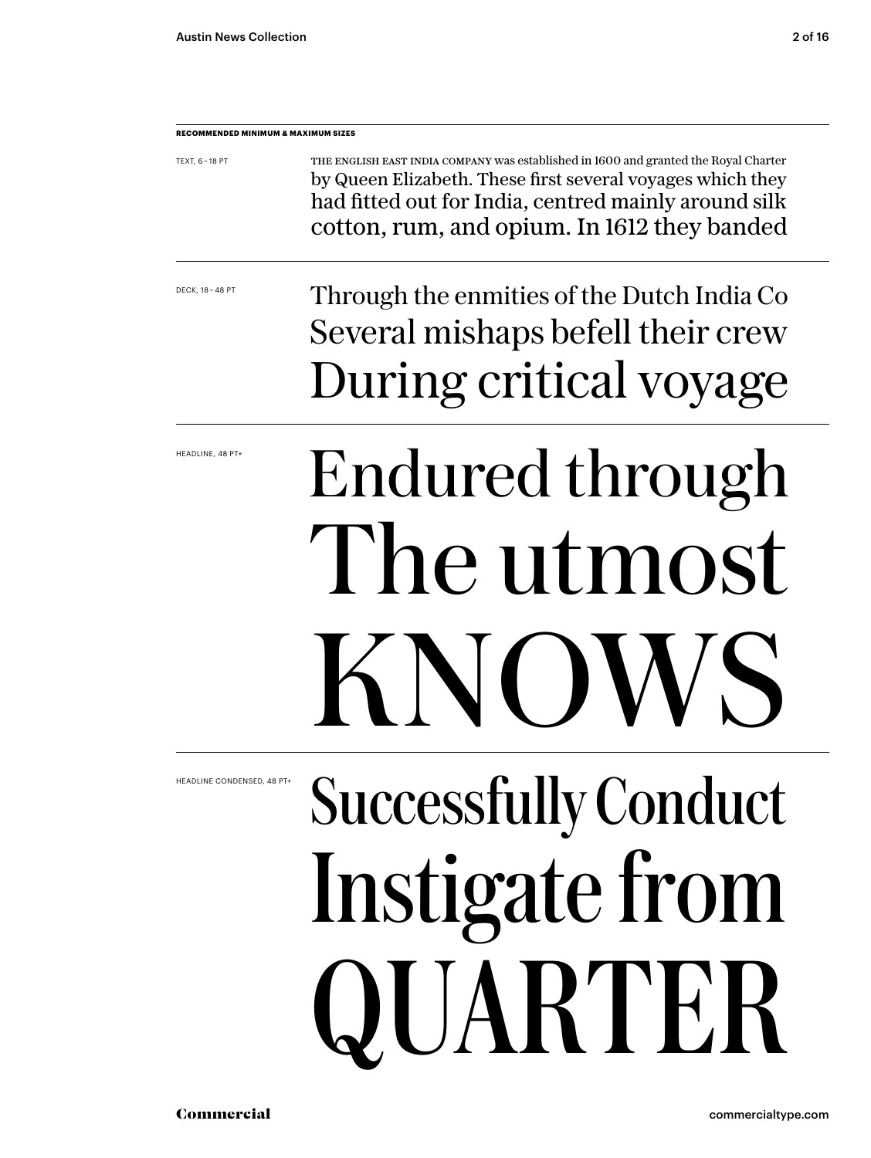| <b>RECOMMENDED MINIMUM &amp; MAXIMUM SIZES</b> |                                                                                                                                                                                                                                                           |
|------------------------------------------------|-----------------------------------------------------------------------------------------------------------------------------------------------------------------------------------------------------------------------------------------------------------|
| TEXT, 6-18 PT                                  | THE ENGLISH EAST INDIA COMPANY Was established in 1600 and granted the Royal Charter<br>by Queen Elizabeth. These first several voyages which they<br>had fitted out for India, centred mainly around silk<br>cotton, rum, and opium. In 1612 they banded |
| DECK, 18 - 48 PT                               | Through the enmities of the Dutch India Co<br>Several mishaps befell their crew                                                                                                                                                                           |
|                                                | During critical voyage                                                                                                                                                                                                                                    |
| HEADLINE, 48 PT+                               | Endured through                                                                                                                                                                                                                                           |
|                                                | The utmost                                                                                                                                                                                                                                                |
|                                                | KNOWS                                                                                                                                                                                                                                                     |
| HEADLINE CONDENSED, 48 PT+                     | <b>Successfully Conduct</b>                                                                                                                                                                                                                               |
|                                                | Instigate from                                                                                                                                                                                                                                            |
|                                                | QUARTER                                                                                                                                                                                                                                                   |

Commercial commercialtype.com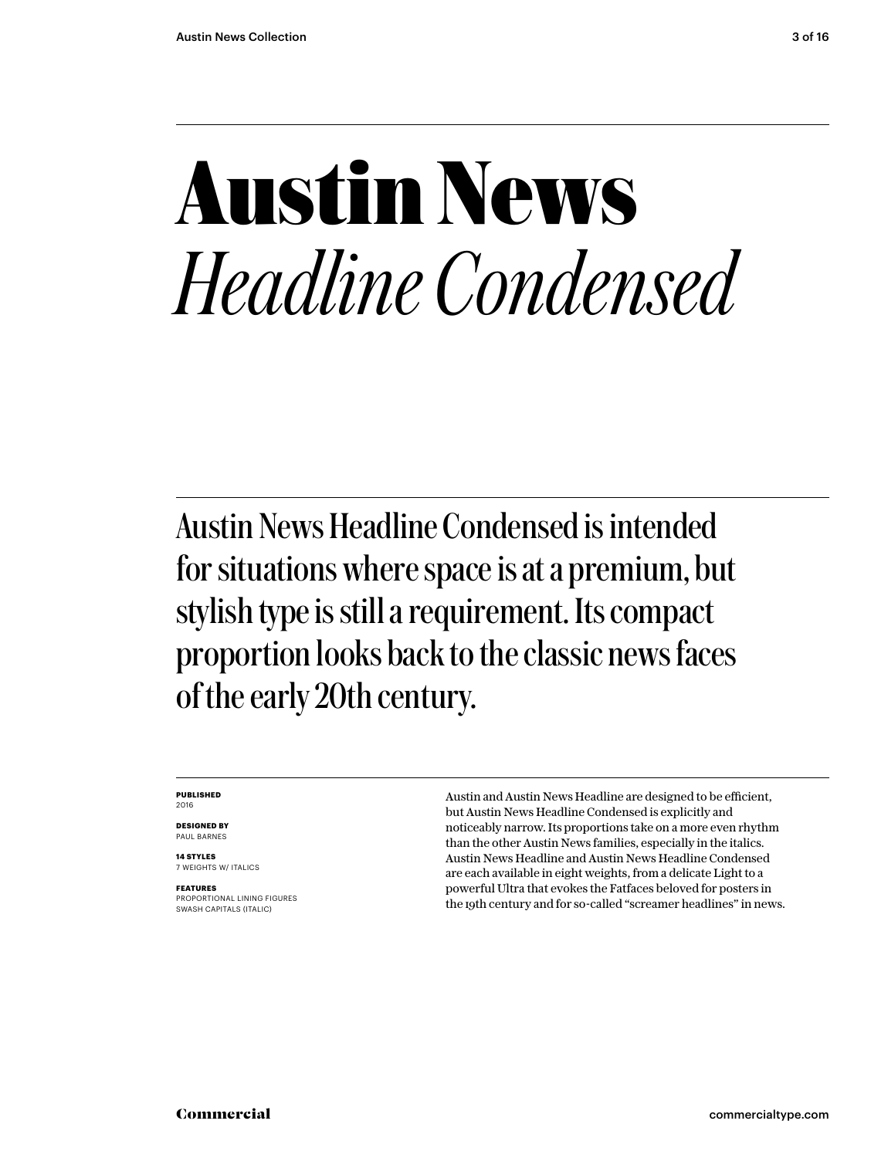## **Austin News** *Headline Condensed*

Austin News Headline Condensed is intended for situations where space is at a premium, but stylish type is still a requirement. Its compact proportion looks back to the classic news faces of the early 20th century.

#### **PUBLISHED** 2016

**DESIGNED BY** PAUL BARNES

**14 STYLES** 7 WEIGHTS W/ ITALICS

**FEATURES** PROPORTIONAL LINING FIGURES SWASH CAPITALS (ITALIC)

Austin and Austin News Headline are designed to be efficient, but Austin News Headline Condensed is explicitly and noticeably narrow. Its proportions take on a more even rhythm than the other Austin News families, especially in the italics. Austin News Headline and Austin News Headline Condensed are each available in eight weights, from a delicate Light to a powerful Ultra that evokes the Fatfaces beloved for posters in the 19th century and for so-called "screamer headlines" in news.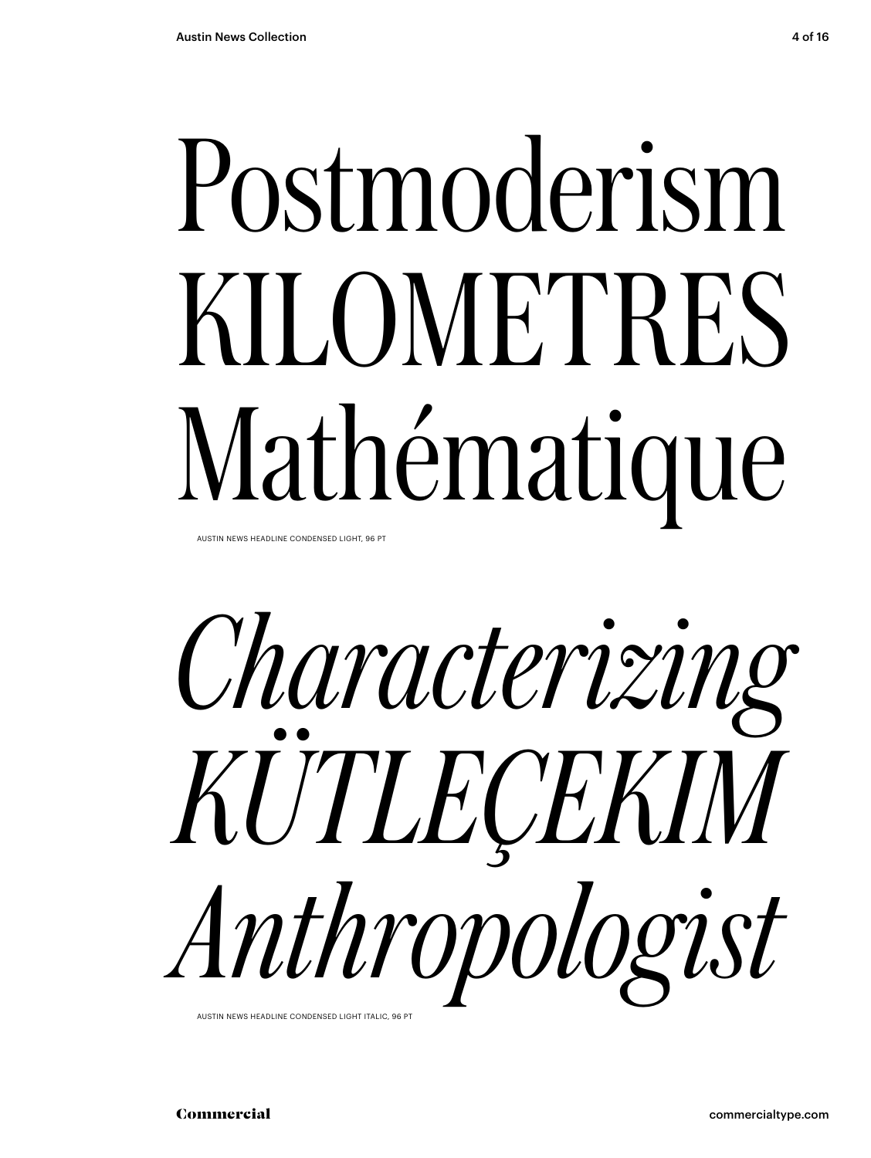# Postmoderism KILOMETRES Mathématique

AUSTIN NEWS HEADLINE CONDENSED LIGHT, 96 PT



AUSTIN NEWS HEADLINE CONDENSED LIGHT ITALIC, 96 PT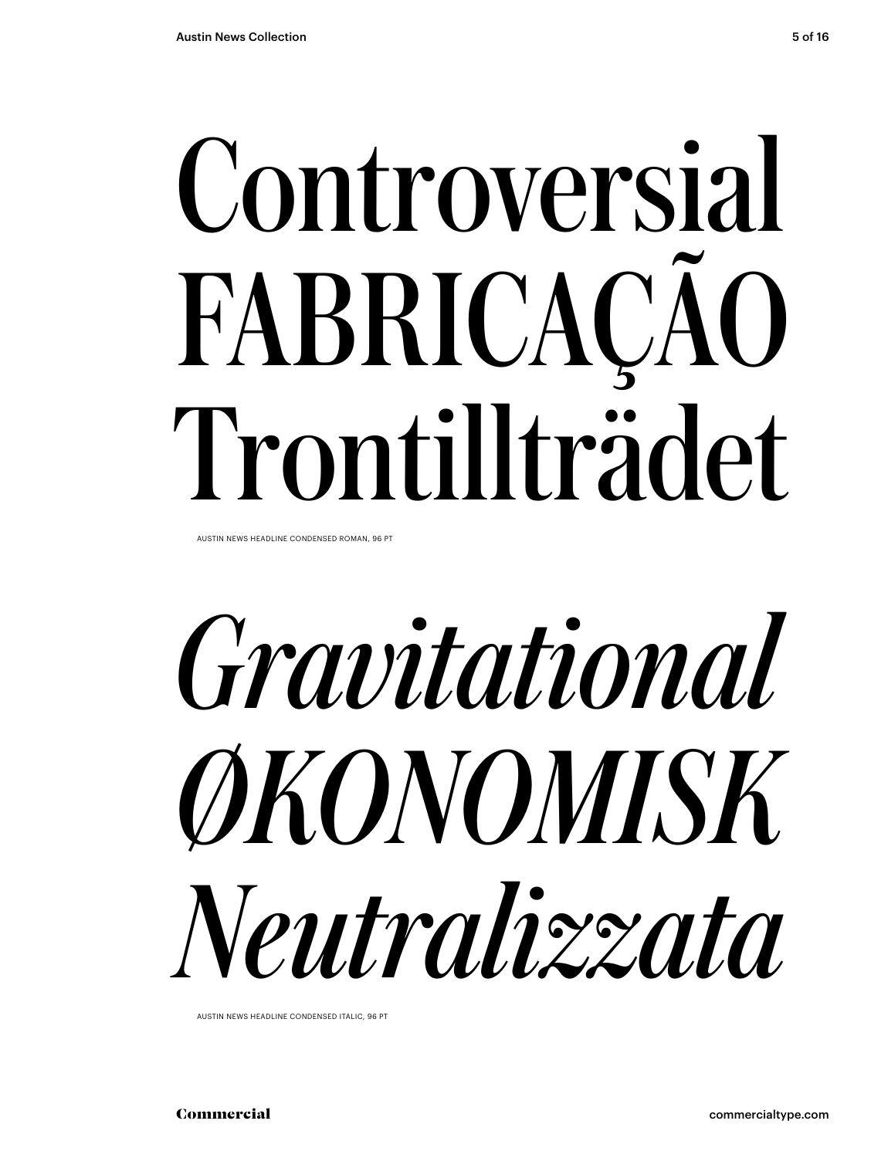# Controversial FABRICAÇÃO Trontillträdet

AUSTIN NEWS HEADLINE CONDENSED ROMAN, 96 PT

*Gravitational ØKONOMISK Neutralizzata*

AUSTIN NEWS HEADLINE CONDENSED ITALIC, 96 PT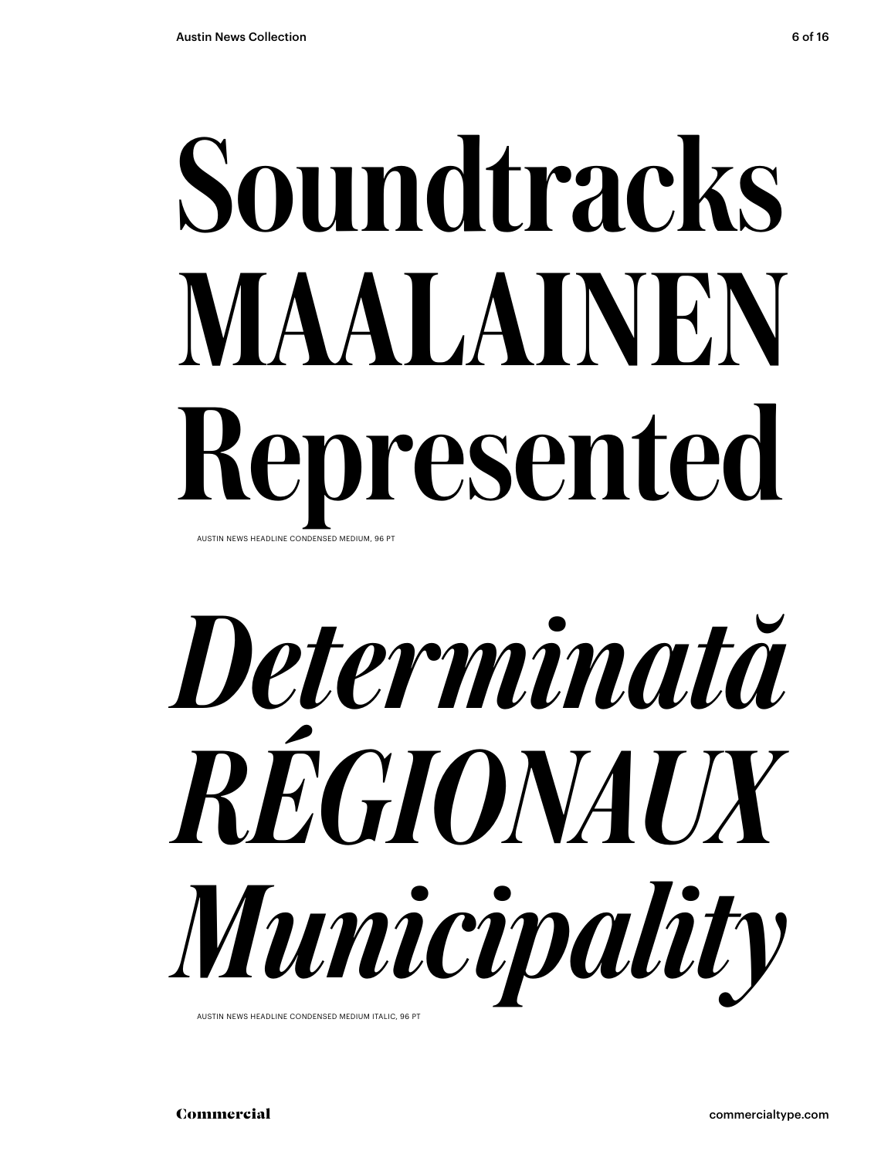## Soundtracks MAALAINEN Represented AUSTIN NEWS HEADLINE CONDENSED MEDIUM, 96 PT



AUSTIN NEWS HEADLINE CONDENSED MEDIUM ITALIC, 96 PT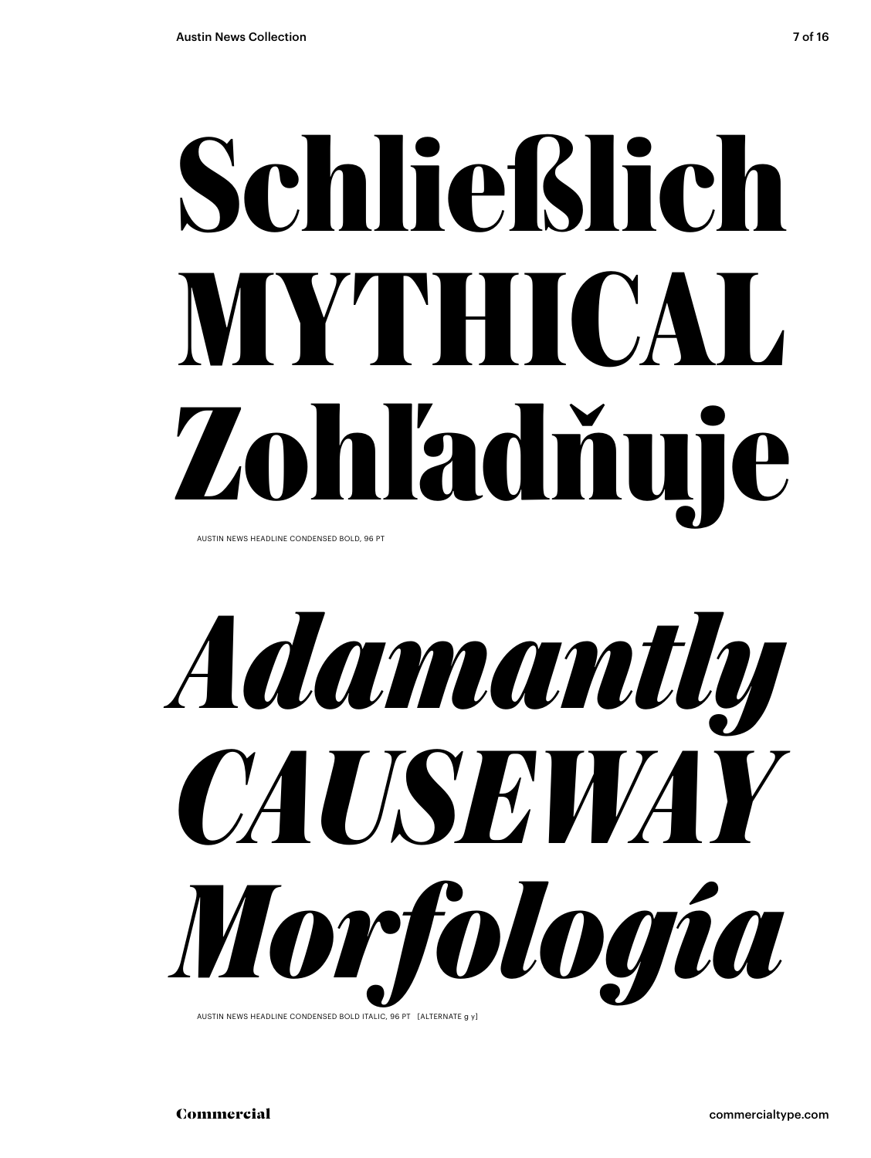# **Schließlich MYTHICAL Zohľadňuje**

AUSTIN NEWS HEADLINE CONDENSED BOLD, 96 PT



AUSTIN NEWS HEADLINE CONDENSED BOLD ITALIC, 96 PT [ALTERNATE g y]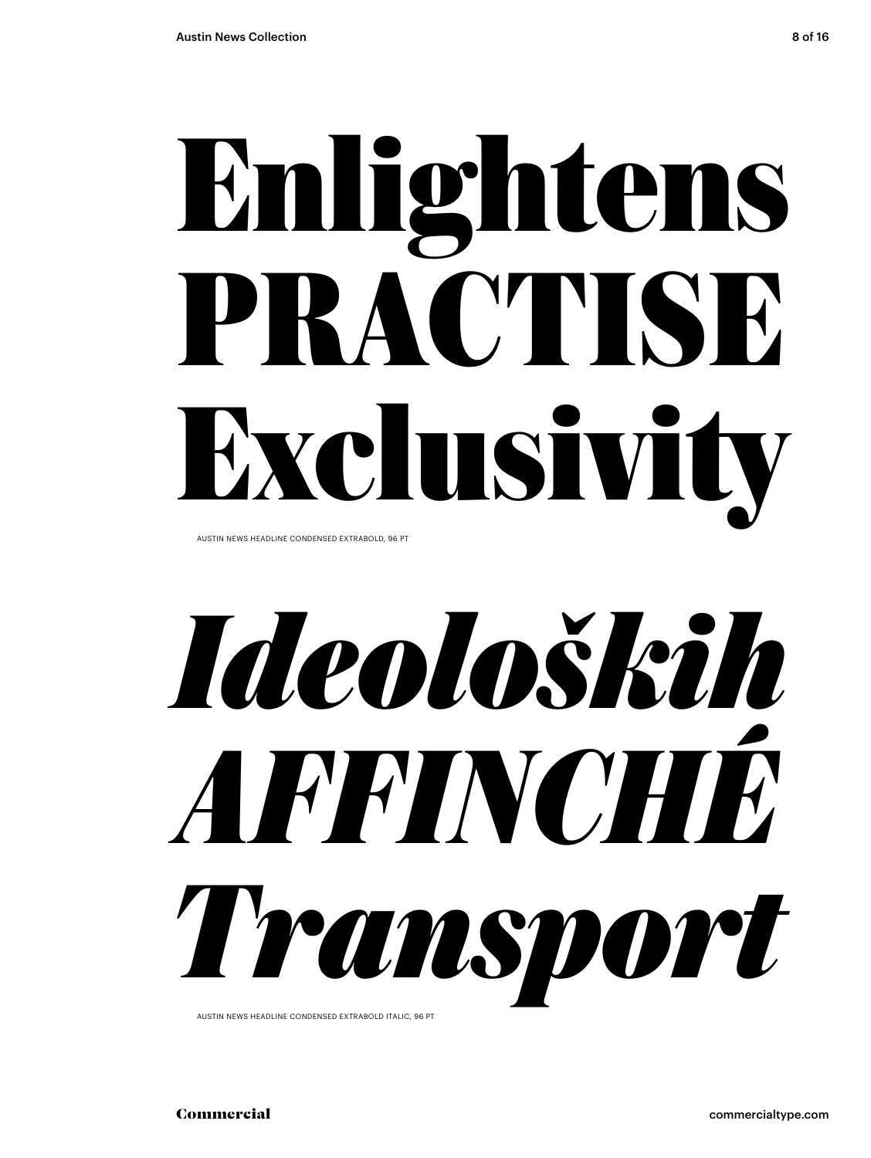# **Enlightens PRACTISE Exclusivity**

AUSTIN NEWS HEADLINE CONDENSED EXTRABOLD, 96 PT

*Ideoloških AFFINCHÉ Transport*

AUSTIN NEWS HEADLINE CONDENSED EXTRABOLD ITALIC, 96 PT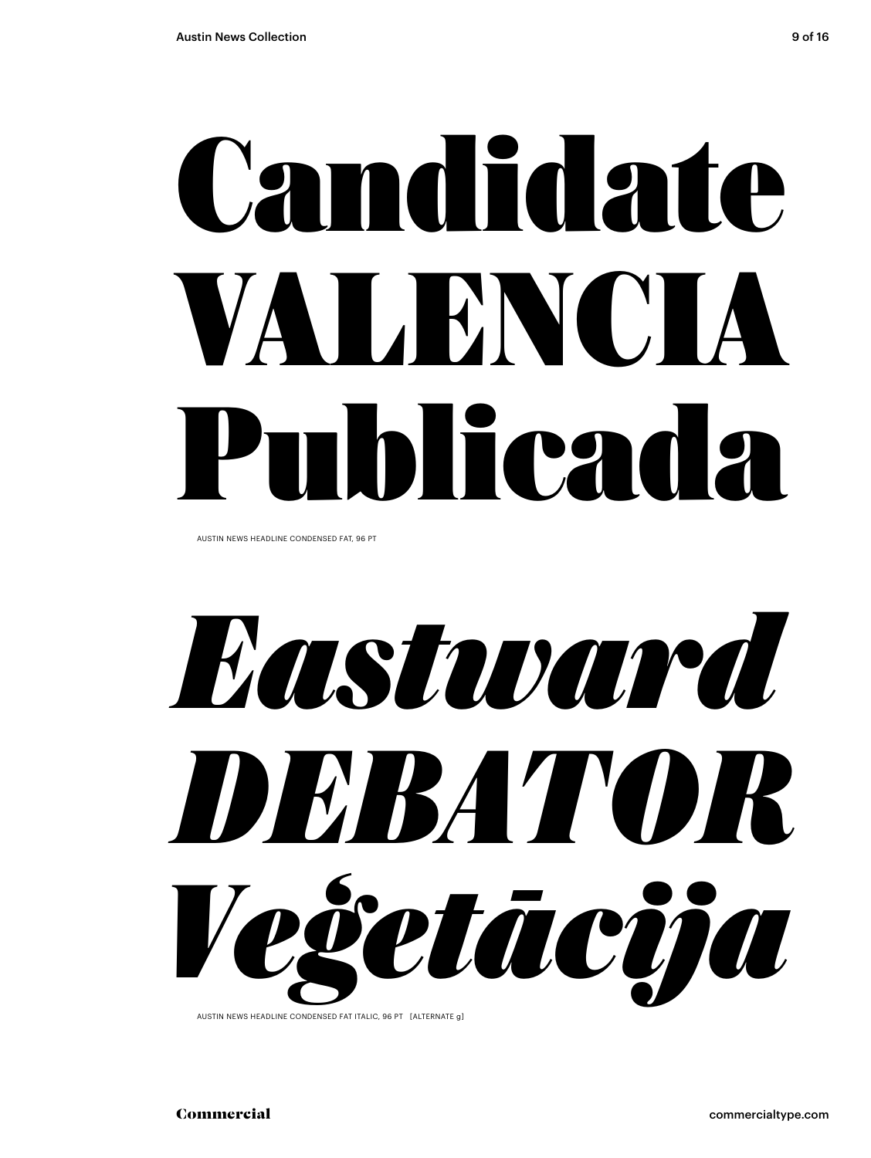# **Candidate** VALENC'IA Publicada

AUSTIN NEWS HEADLINE CONDENSED FAT, 96 PT

*Eastward DEBATOR Veģetācija*

AUSTIN NEWS HEADLINE CONDENSED FAT ITALIC, 96 PT [ALTERNATE g]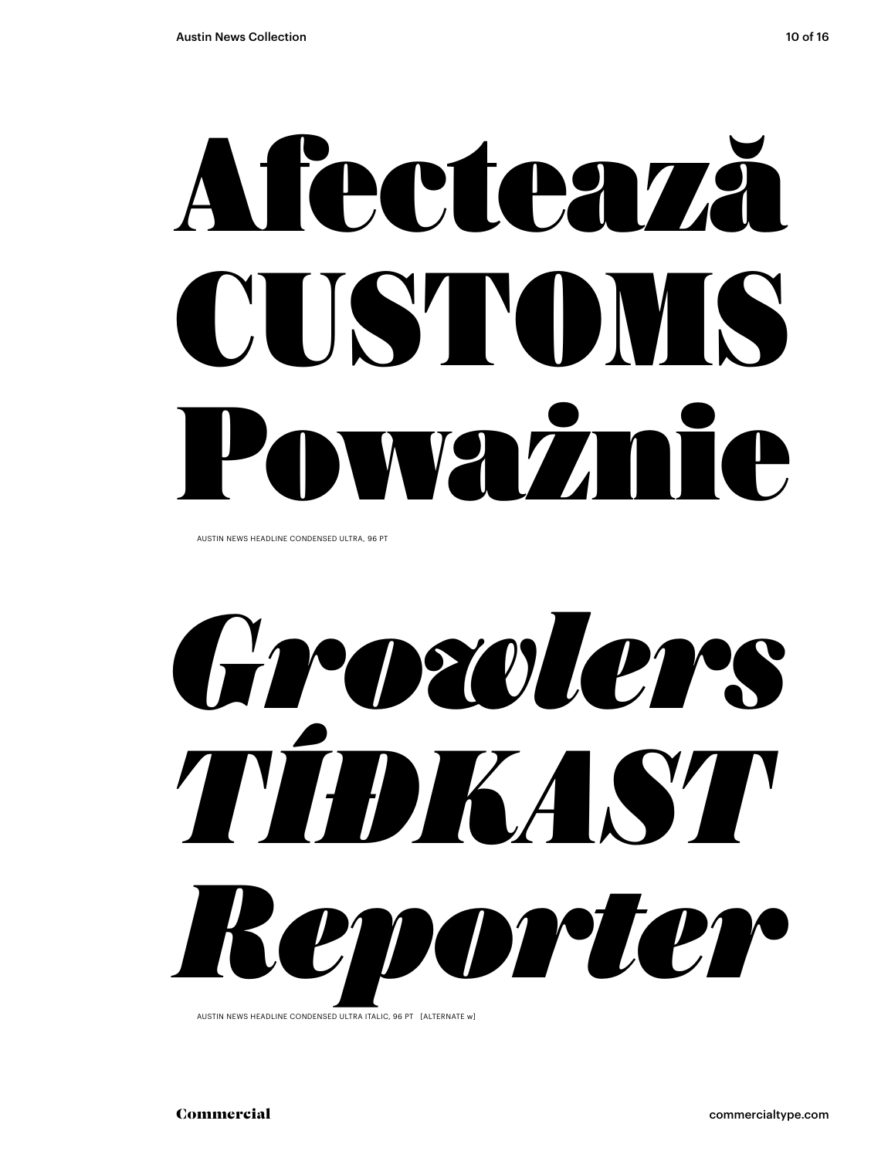# Afectează CUSTOMS Ważnie

AUSTIN NEWS HEADLINE CONDENSED ULTRA, 96 PT

*Growlers TÍÐKAST Reporter*

AUSTIN NEWS HEADLINE CONDENSED ULTRA ITALIC, 96 PT [ALTERNATE w]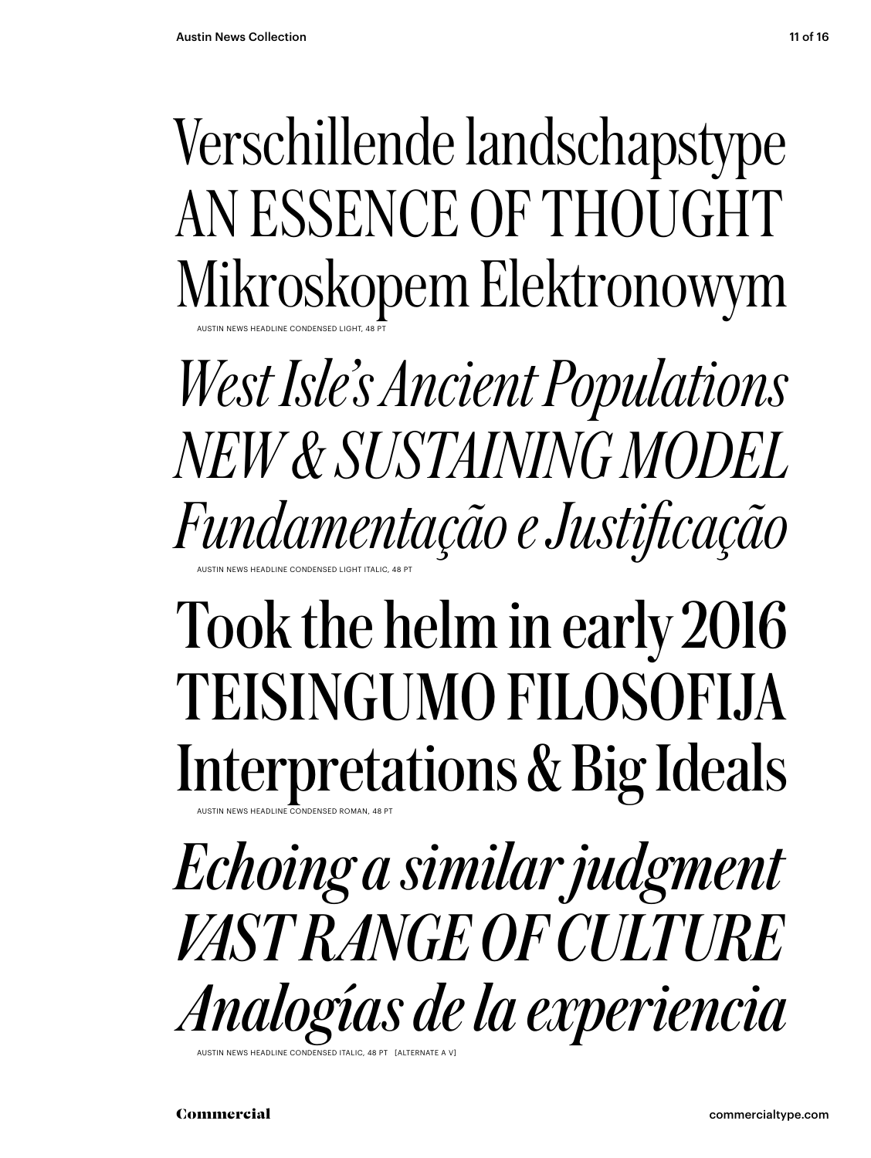### Verschillende landschapstype AN ESSENCE OF THOUGHT Mikroskopem Elektronowym AUSTIN NEWS HEADLINE CONDENSED LIGHT, 48 PT

*West Isle's Ancient Populations NEW & SUSTAINING MODEL Fundamentação e Justificação* AUSTIN NEWS HEADLINE CONDENSED LIGHT ITALIC, 48 PT

## Took the helm in early 2016 TEISINGUMO FILOSOFIJA Interpretations & Big Ideals

AUSTIN NEWS HEADLINE CONDENSED ROMAN, 48 PT

*Echoing a similar judgment VAST RANGE OF CULTURE Analogías de la experiencia*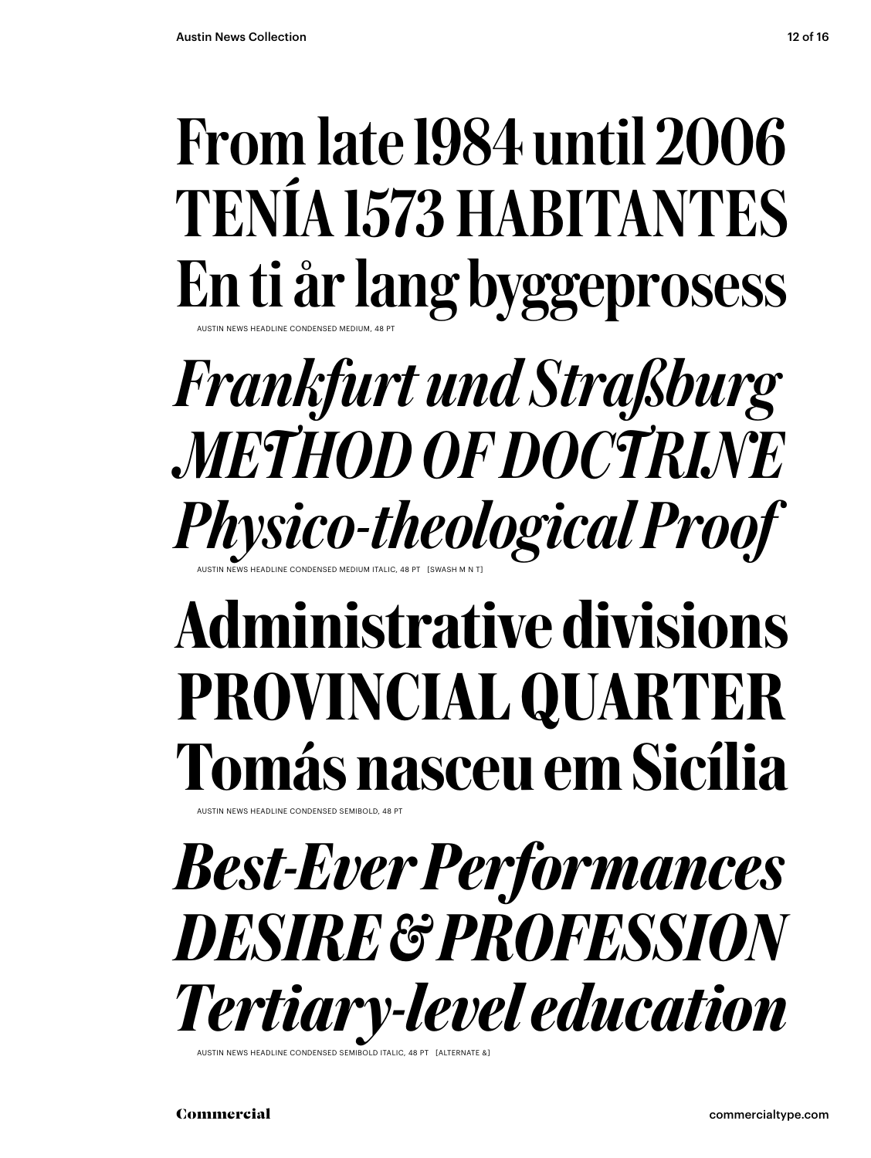### From late 1984 until 2006 TENÍA 1573 HABITANTES En ti år lang byggeprosess AUSTIN NEWS HEADLINE CONDENSED MEDIUM, 48 PT

### *Frankfurt und Straßburg METHOD OF DOCTRINE Physico-theological Proof* AUSTIN NEWS HEADLINE CONDENSED MEDIUM ITALIC, 48 PT [SWASH M N T]

## Administrative divisions PROVINCIAL QUARTER Tomás nasceu em Sicília

AUSTIN NEWS HEADLINE CONDENSED SEMIBOLD, 48 PT

*Best-Ever Performances DESIRE & PROFESSION Tertiary-level education*

```
AUSTIN NEWS HEADLINE CONDENSED SEMIBOLD ITALIC
```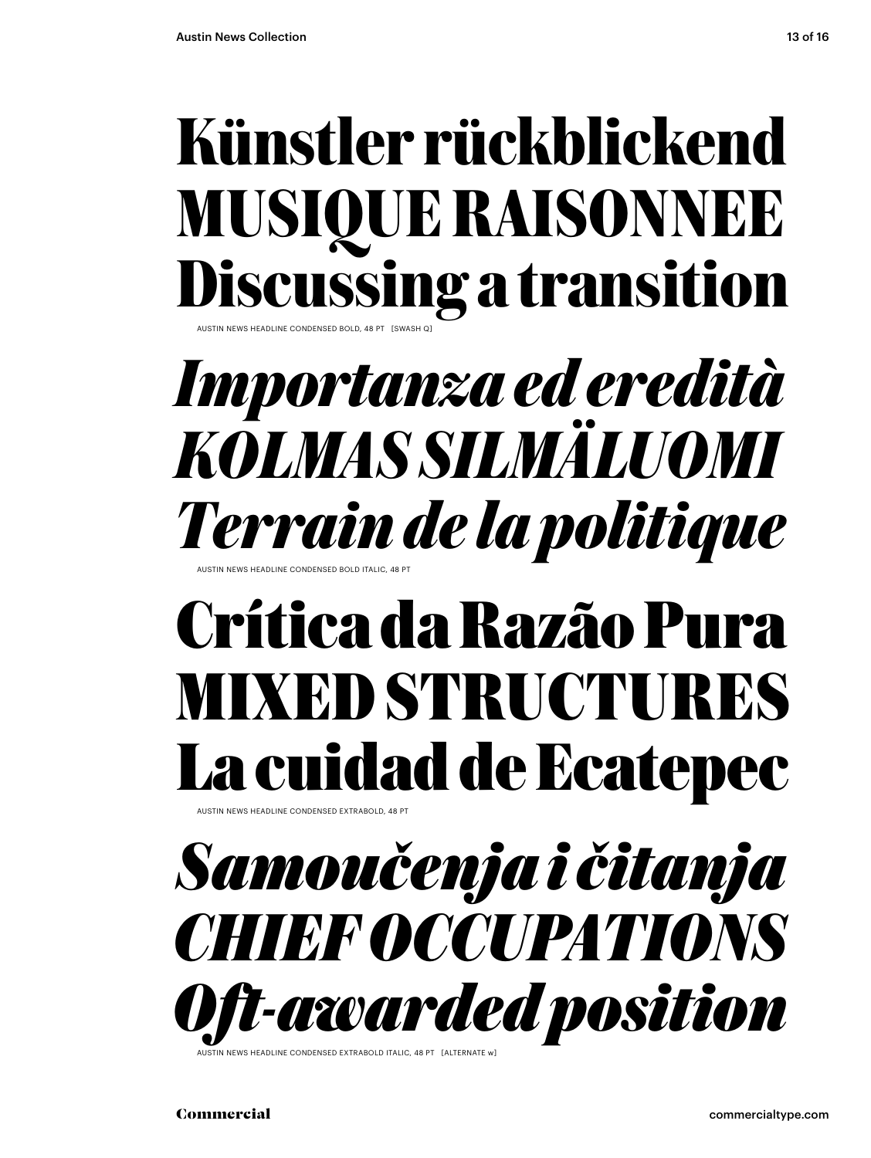## **Künstler rückblickend MUSIQUE RAISONNEE Discussing a transition**

AUSTIN NEWS HEADLINE CONDENSED BOLD, 48 PT [SWASH Q]

*Importanza ed eredità KOLMAS SILMÄLUOMI Terrain de la politique* AUSTIN NEWS HEADLINE CONDENSED BOLD ITALIC, 48 PT

## **Crítica da Razão Pura MIXED STRUCTURES La cuidad de Ecatepec**

AUSTIN NEWS HEADLINE CONDENSED EXTRABOLD, 48 PT

*Samoučenja i čitanja CHIEF OCCUPATIONS Oft-awarded position*

IN NEWS HEADLINE CONDENSED EXTRABOLD ITALIC, 48 PT [ALTERNAT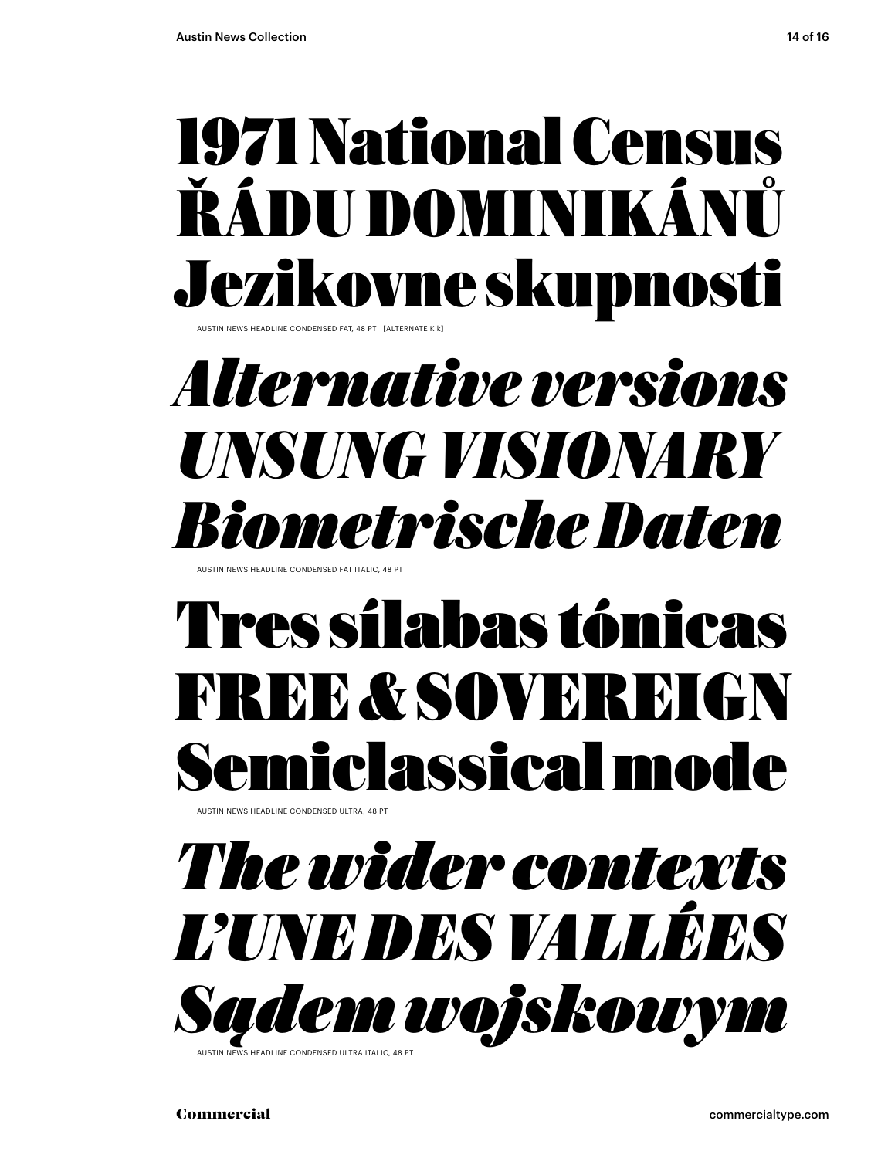## 1971 National Census ŘÁDU DOMINIKÁNŮ Jezikovne skupnosti

AUSTIN NEWS HEADLINE CONDENSED FAT, 48 PT [ALTERNATE K k]

## *Alternative versions UNSUNG VISIONARY Biometrische Daten*

AUSTIN NEWS HEADLINE CONDENSED FAT ITALIC, 48 PT

## Tres sílabas tónicas FREE & SOVEREIGN Semiclassical mode

.<br>AUSTIN NEWS HEADLINE CONDENSED ULTRA, 48 P

## *The wider contexts L'UNE DES VALLÉES Sądem wojskowym*

.<br>AS HEADLINE CONDENSED ULTRA ITALIC, 48 P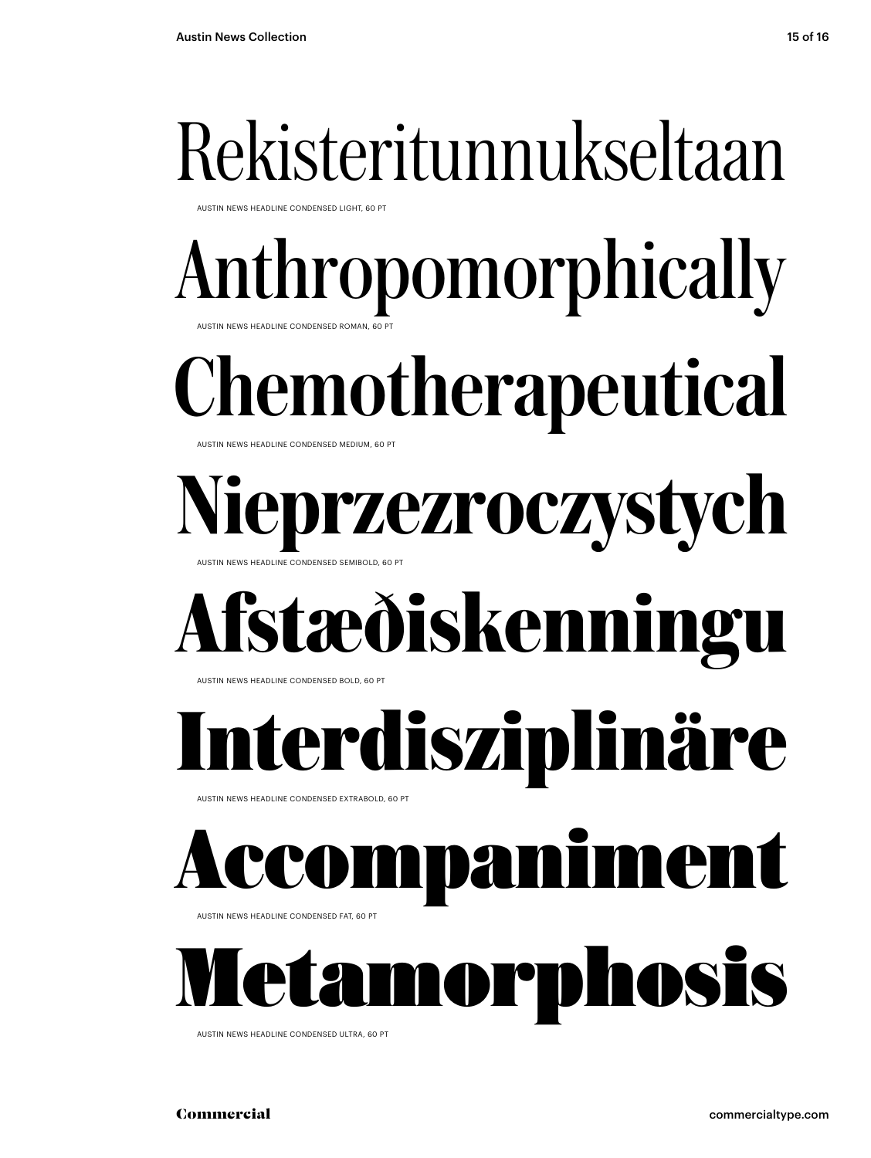## Rekisteritunnukseltaan

AUSTIN NEWS HEADLINE CONDENSED LIGHT, 60 PT

## Anthropomorphically

AUSTIN NEWS HEADLINE CONDENSED ROMAN, 60

AUSTIN NEWS HEADLINE CONDENSED MEDIUM, 60 PT Chemotherapeutical

AUSTIN NEWS HEADLINE CONDENSED SEMIBOLD, 60 PT rzezroczystych

## **Afstæðiskenningu**

AUSTIN NEWS HEADLINE CONDENSED BOLD, 60 PT

## **Interdisziplinäre**

AUSTIN NEWS HEADLINE CONDENSED EXTRABOLD, 60 PT

## anime

AUSTIN NEWS HEADLINE CONDENSED FAT, 60 PT

Metamorphosis

AUSTIN NEWS HEADLINE CONDENSED ULTRA, 60 PT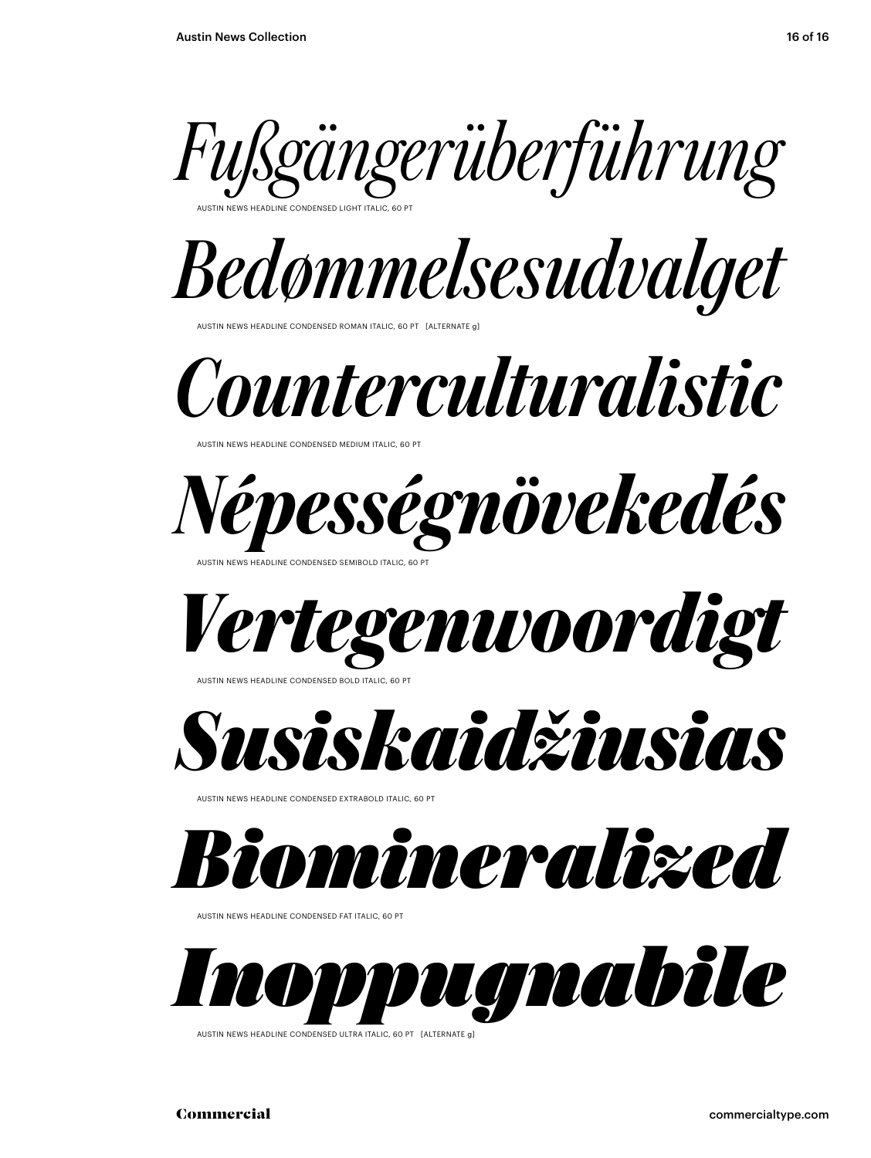

AUSTIN NEWS HEADLINE CONDENSED LIGHT ITALIC, 60 PT



AUSTIN NEWS HEADLINE CONDENSED ROMAN ITALIC, 60 PT [ALTERNATE g]

*Counterculturalistic*

AUSTIN NEWS HEADLINE CONDENSED MEDIUM ITALIC, 60 PT



AUSTIN NEWS HEADLINE CONDENSED SEMIBOLD ITALIC, 60 PT





**USTIN NEWS HEADLINE CONDENSED EXTRABOLD ITALIC, 6** 



AUSTIN NEWS HEADLINE CONDENSED FAT ITALIC, 60 PT



AUSTIN NEWS HEADLINE CONDENSED ULTRA ITALIC, 60 PT [ALTERNATE g]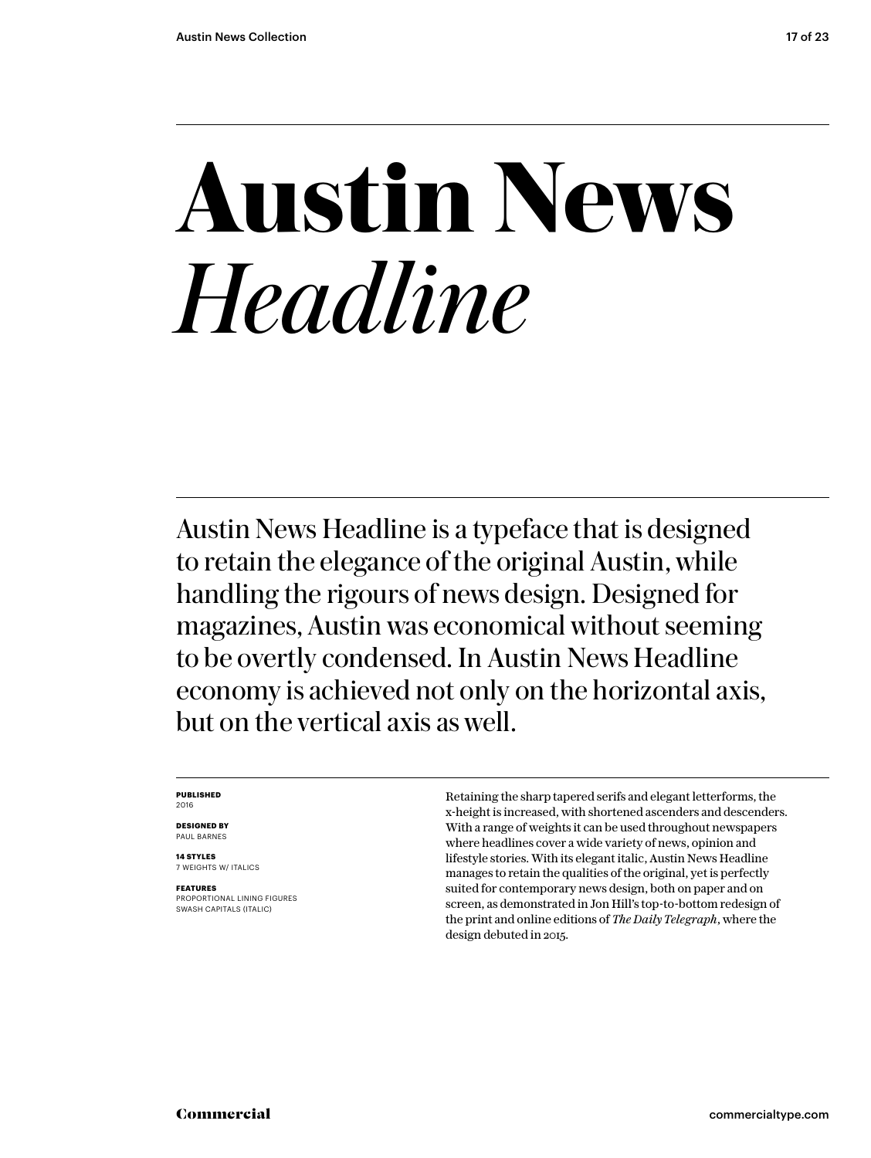## **Austin News** *Headline*

Austin News Headline is a typeface that is designed to retain the elegance of the original Austin, while handling the rigours of news design. Designed for magazines, Austin was economical without seeming to be overtly condensed. In Austin News Headline economy is achieved not only on the horizontal axis, but on the vertical axis as well.

#### **PUBLISHED** 2016

**DESIGNED BY** PAUL BARNES

**14 STYLES** 7 WEIGHTS W/ ITALICS

**FEATURES** PROPORTIONAL LINING FIGURES SWASH CAPITALS (ITALIC)

Retaining the sharp tapered serifs and elegant letterforms, the x-height is increased, with shortened ascenders and descenders. With a range of weights it can be used throughout newspapers where headlines cover a wide variety of news, opinion and lifestyle stories. With its elegant italic, Austin News Headline manages to retain the qualities of the original, yet is perfectly suited for contemporary news design, both on paper and on screen, as demonstrated in Jon Hill's top-to-bottom redesign of the print and online editions of *The Daily Telegraph*, where the design debuted in 2015.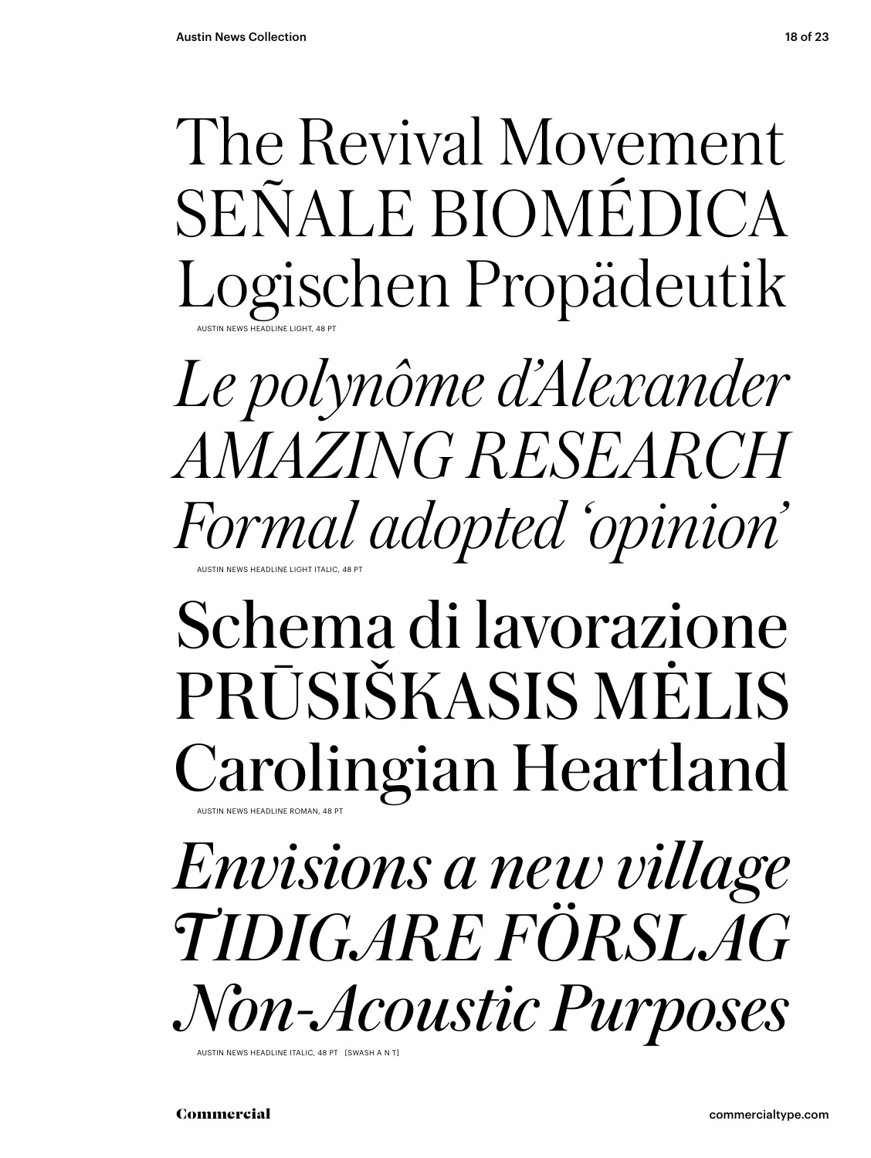The Revival Movement SEÑALE BIOMÉDICA Logischen Propädeutik AUSTIN NEWS HEADLINE LIGHT, 48 PT

*Le polynôme d'Alexander AMAZING RESEARCH Formal adopted 'opinion'* AUSTIN NEWS HEADLINE LIGHT ITALIC, 48 PT

### Schema di lavorazione PRŪSIŠKASIS MĖLIS Carolingian Heartland AUSTIN NEWS HEADLINE ROMAN, 48 PT

*Envisions a new village TIDIGARE FÖRSLAG Non-Acoustic Purposes*

AUSTIN NEWS HEADLINE ITALIC, 48 PT [SWASH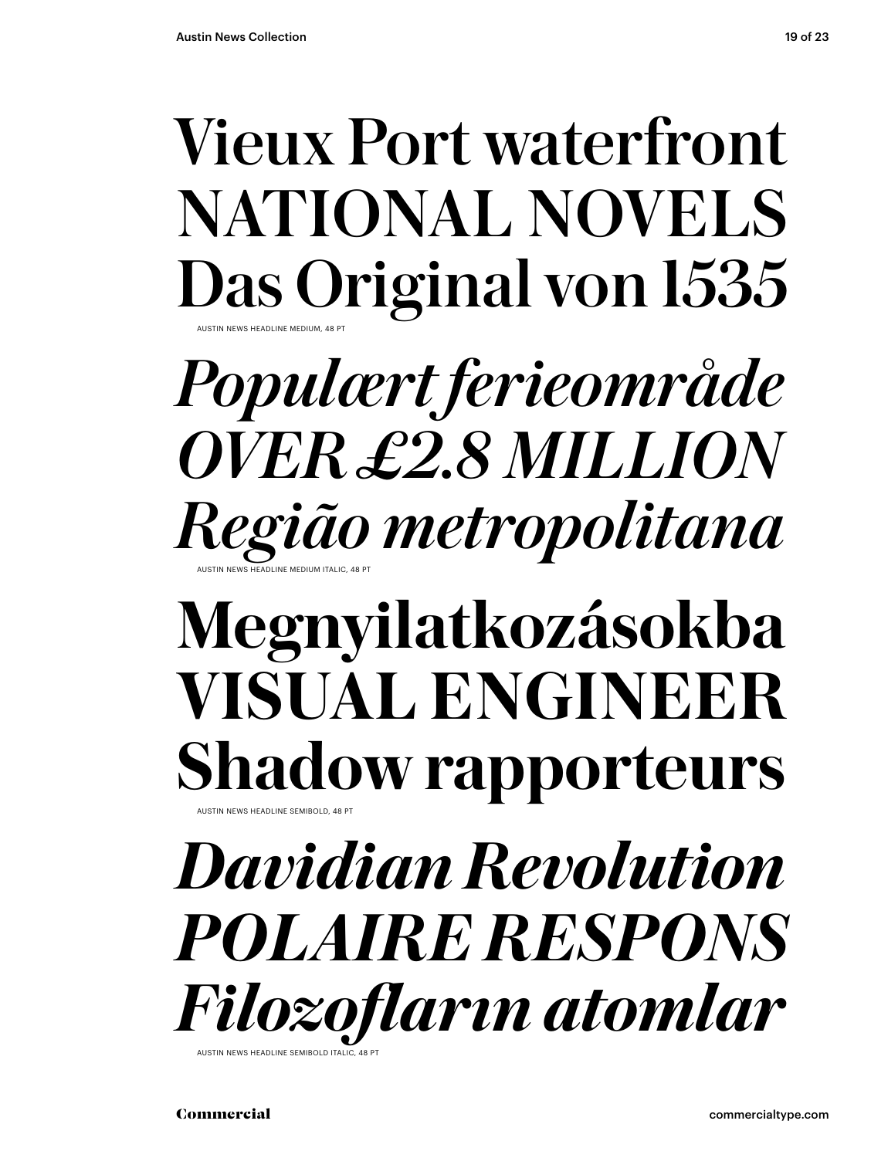### Vieux Port waterfront NATIONAL NOVELS Das Original von 1535 AUSTIN NEWS HEADLINE MEDIUM, 48 PT

*Populært ferieområde OVER £2.8 MILLION Região metropolitana* AUSTIN NEWS HEADLINE MEDIUM ITALIC, 48 PT

### **Megnyilatkozásokba VISUAL ENGINEER Shadow rapporteurs** AUSTIN NEWS HEADLINE SEMIBOLD, 48 PT

*Davidian Revolution POLAIRE RESPONS Filozofların atomlar* AUSTIN NEWS HEADLINE SEMIBOLD ITALI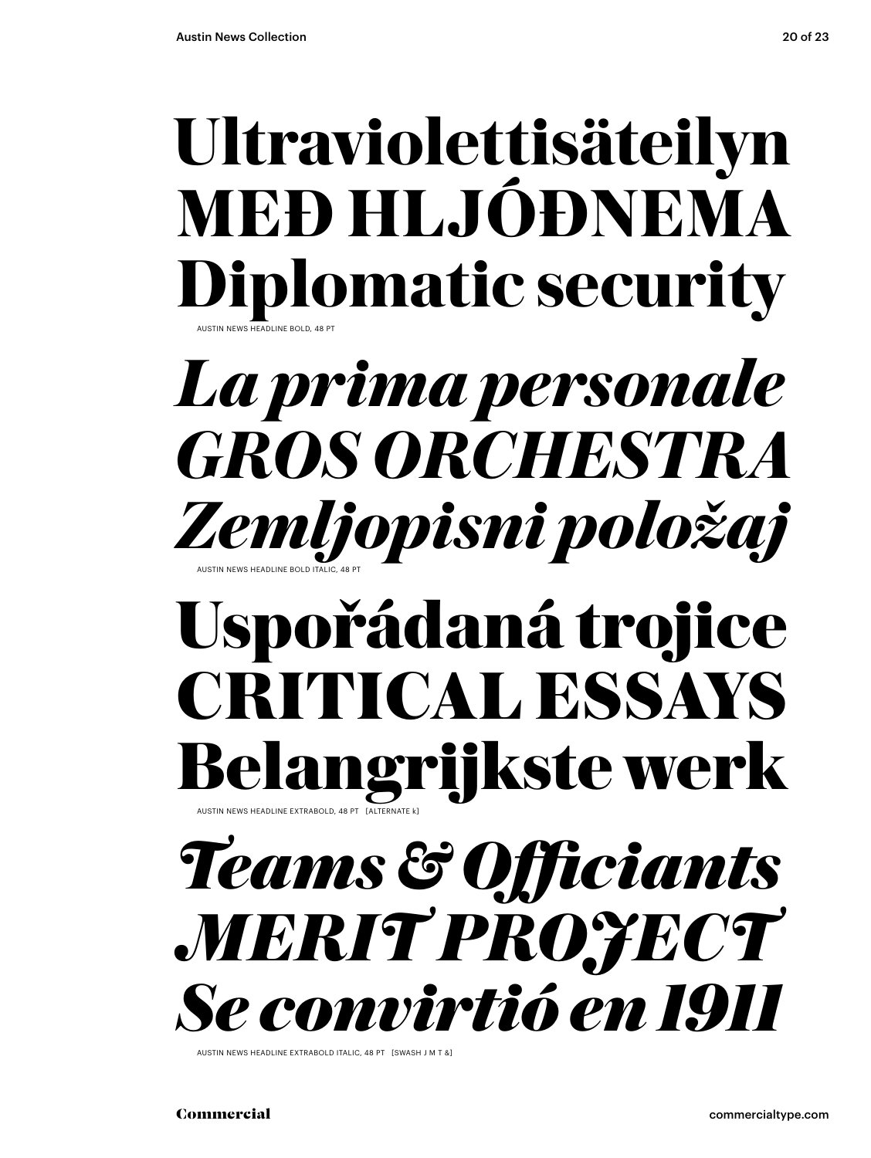## **Ultraviolettisäteilyn MEÐ HLJÓÐNEMA Diplomatic security**

AUSTIN NEWS HEADLINE BOLD, 48 PT

## *La prima personale GROS ORCHESTRA Zemljopisni položaj* AUSTIN NEWS HEADLINE BOLD ITALIC, 48 PT

## **Uspořádaná trojice CRITICAL ESSAYS Belangrijkste werk** AUSTIN NEWS HEADLINE EXTRABOLD, 48 PT [ALTERNATE k]



AUSTIN NEWS HEADLINE EXTRABOLD ITALIC, 48 PT [SWASH J M T &]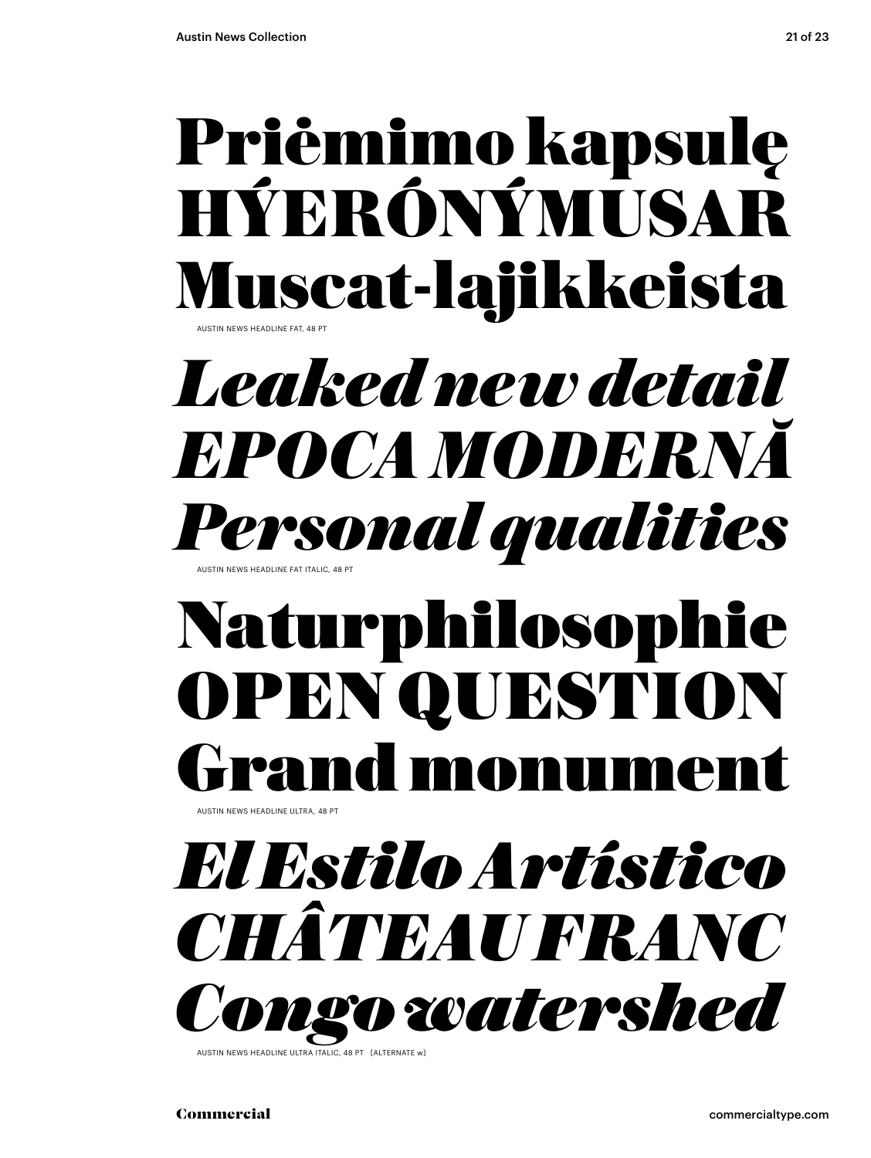### Priėmimo kapsulę HÝERÓNÝMUSAR Muscat-lajikkeista AUSTIN NEWS HEADLINE FAT, 48 PT

## *Leaked new detail EPOCA MODERNĂ Personal qualities* AUSTIN NEWS HEADLINE FAT ITALIC, 48 PT

## Naturphilosophie OPEN QUESTION rand monume

.<br>AUSTIN NEWS HEADLINE ULTRA, 48 PT

*El Estilo Artístico CHÂTEAU FRANC Congo watershed*

AUSTIN NEWS HEADLINE ULTRA ITALIC, 48 PT [ALTERNATE w]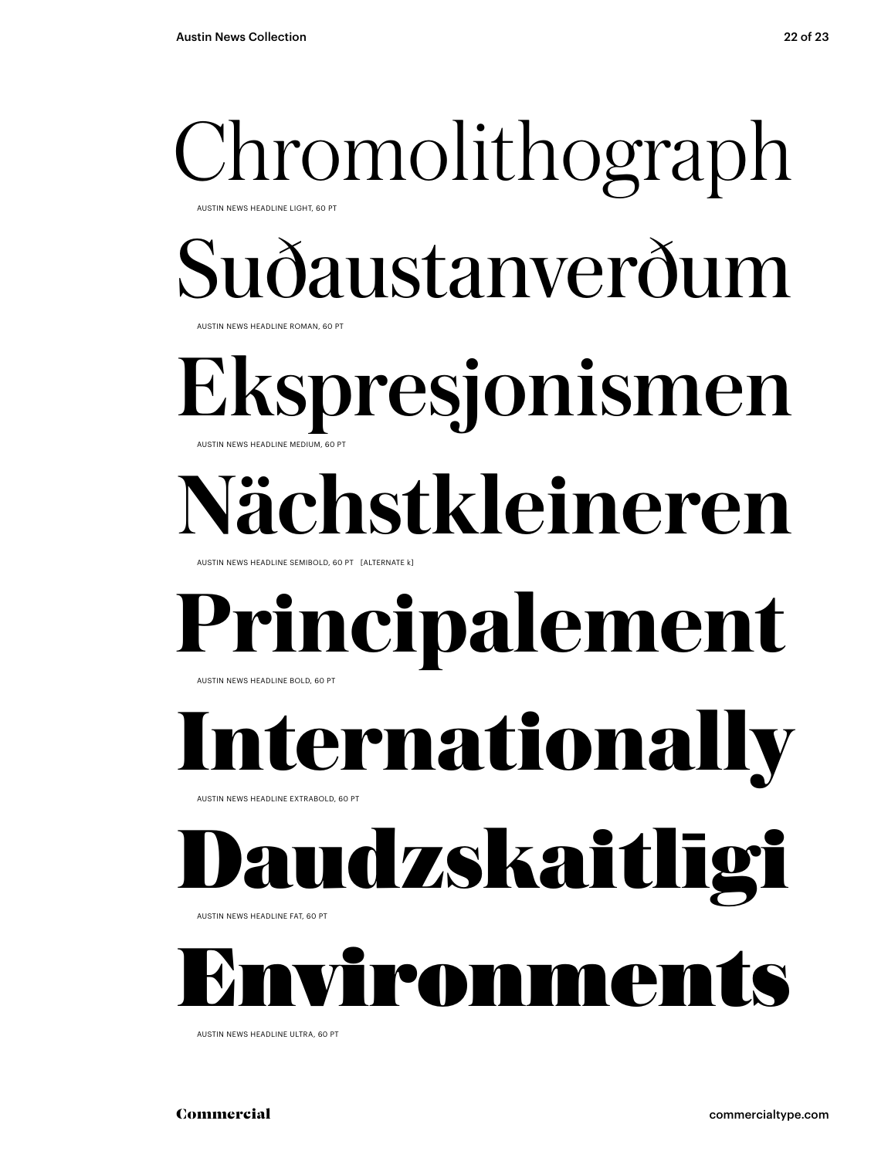## Chromolithograph AUSTIN NEWS HEADLINE LIGHT, 60 PT

Suðaustanverðum

AUSTIN NEWS HEADLINE ROMAN, 60 PT

### Ekspresjonismen AUSTIN NEWS HEADLINE MEDIUM, 60 PT

## **Nächstkleineren**

AUSTIN NEWS HEADLINE SEMIBOLD, 60 PT [ALTERNATE k]

### **Principalement** AUSTIN NEWS HEADLINE BOLD, 60 PT

**Iernationally** 

AUSTIN NEWS HEADLINE EXTRABOLD, 60 PT

## udzskaitlīgi

AUSTIN NEWS HEADLINE FAT, 60 PT



AUSTIN NEWS HEADLINE ULTRA, 60 PT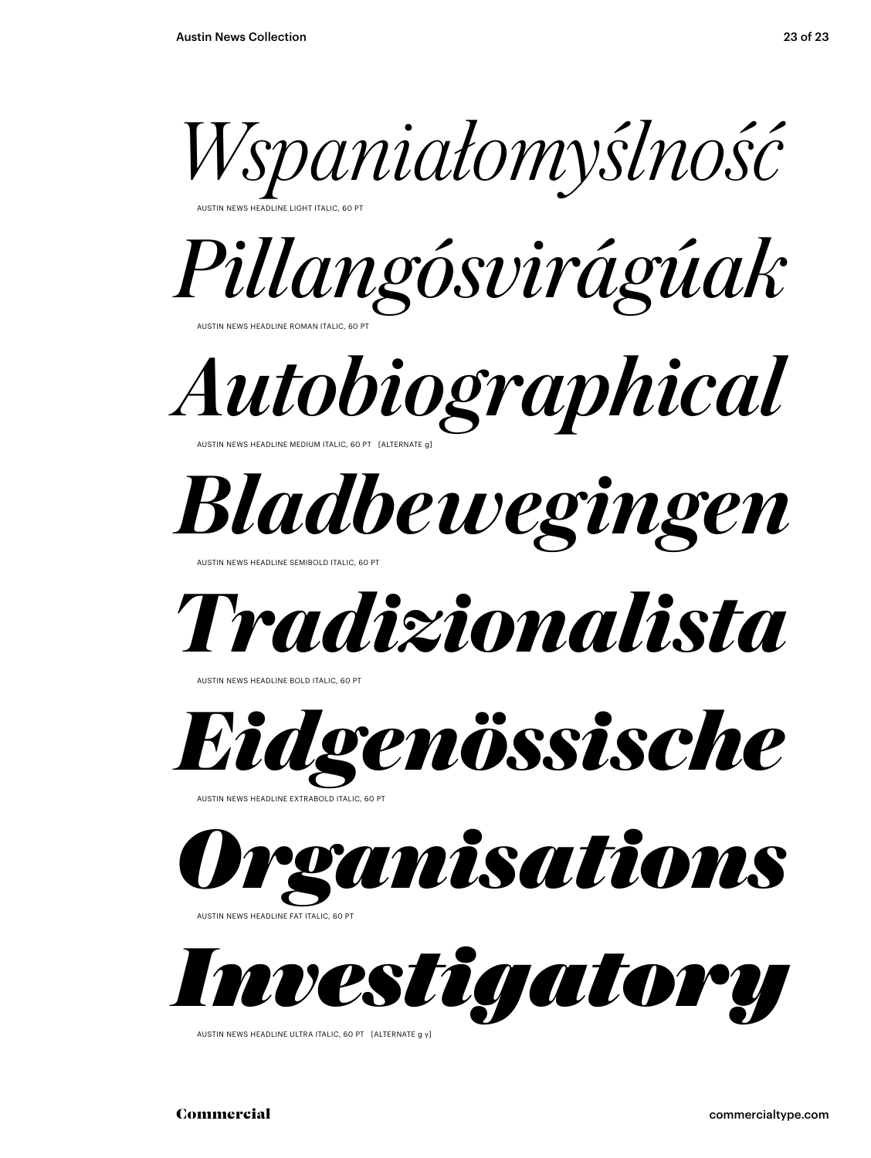

AUSTIN NEWS HEADLINE LIGHT ITALIC, 60 PT



*Autobiographical* AUSTIN NEWS HEADLINE MEDIUM ITALIC, 60 PT [ALTERNATE g]

*Bladbewegingen* 

NEWS HEADLINE SEMIBOLD ITALIC, 60

*Tradizionalista*

AUSTIN NEWS HEADLINE BOLD ITALIC, 60 P



AUSTIN NEWS HEADLINE EXTRABOLD ITALIC, 60 PT



AUSTIN NEWS HEADLINE FAT ITALIC, 60 PT



AUSTIN NEWS HEADLINE ULTRA ITALIC, 60 PT [ALTERNATE g y]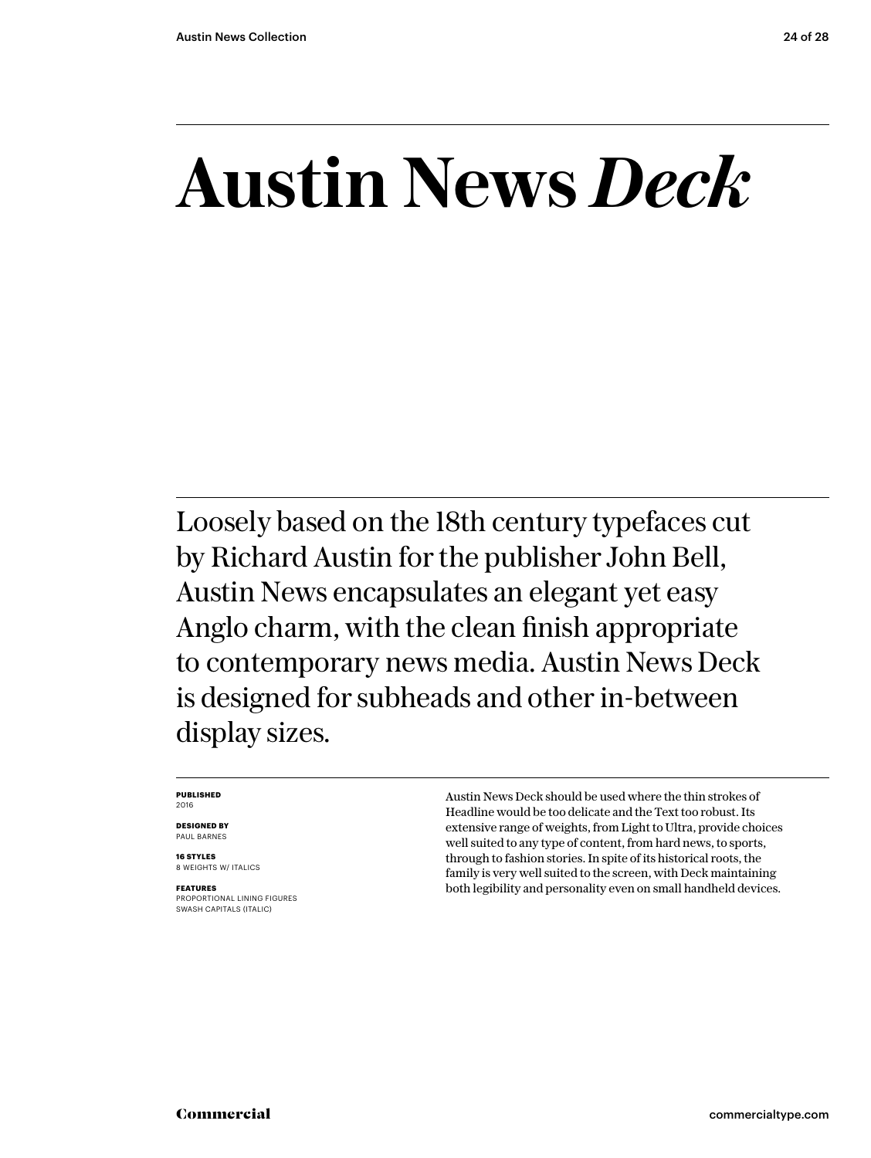## **Austin News** *Deck*

Loosely based on the 18th century typefaces cut by Richard Austin for the publisher John Bell, Austin News encapsulates an elegant yet easy Anglo charm, with the clean finish appropriate to contemporary news media. Austin News Deck is designed for subheads and other in-between display sizes.

#### **PUBLISHED** 2016

**DESIGNED BY** PAUL BARNES

**16 STYLES** 8 WEIGHTS W/ ITALICS

**FEATURES** PROPORTIONAL LINING FIGURES SWASH CAPITALS (ITALIC)

Austin News Deck should be used where the thin strokes of Headline would be too delicate and the Text too robust. Its extensive range of weights, from Light to Ultra, provide choices well suited to any type of content, from hard news, to sports, through to fashion stories. In spite of its historical roots, the family is very well suited to the screen, with Deck maintaining both legibility and personality even on small handheld devices.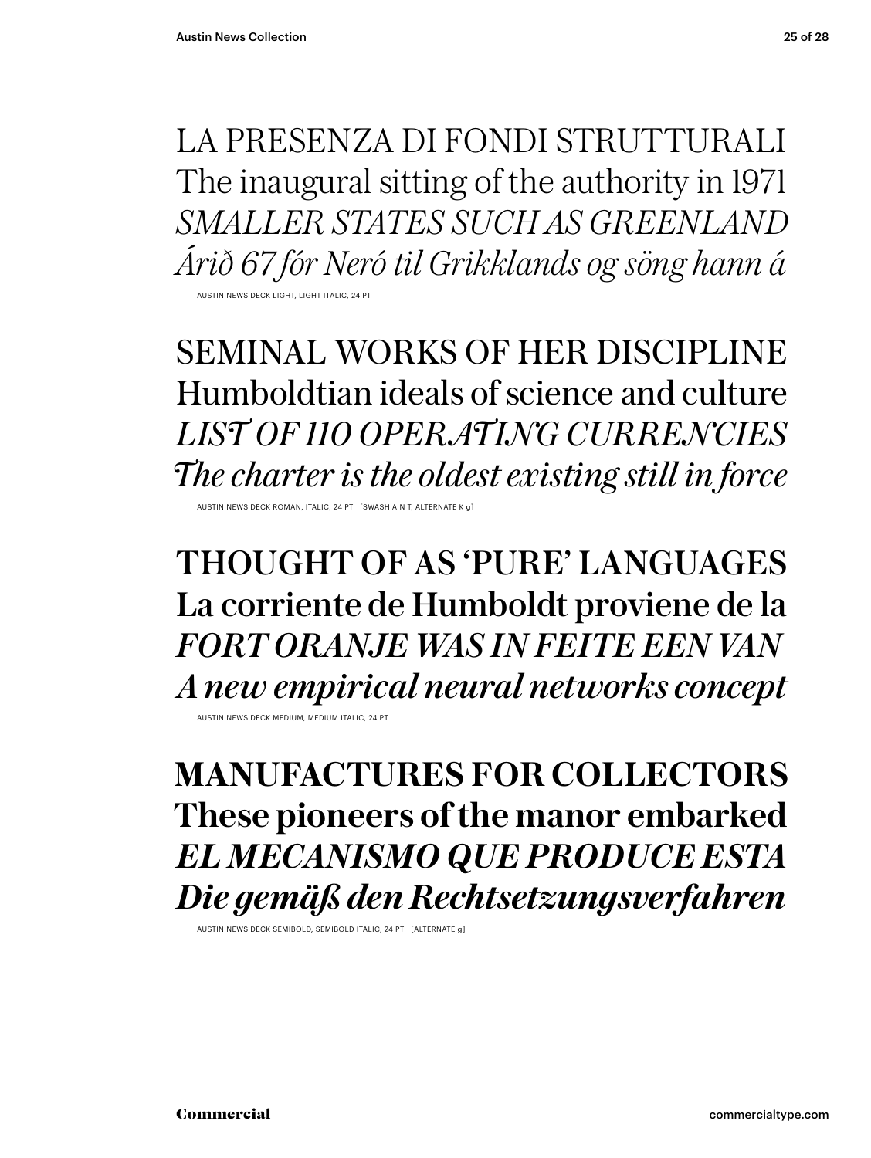LA PRESENZA DI FONDI STRUTTURALI The inaugural sitting of the authority in 1971 *SMALLER STATES SUCH AS GREENLAND Árið 67 fór Neró til Grikklands og söng hann á* AUSTIN NEWS DECK LIGHT, LIGHT ITALIC, 24 PT

SEMINAL WORKS OF HER DISCIPLINE Humboldtian ideals of science and culture *LIST OF 110 OPERATING CURRENCIES The charter is the oldest existing still in force*

AUSTIN NEWS DECK ROMAN, ITALIC, 24 PT [SWASH A N T, ALTER

THOUGHT OF AS 'PURE' LANGUAGES La corriente de Humboldt proviene de la *FORT ORANJE WAS IN FEITE EEN VAN A new empirical neural networks concept*

AUSTIN NEWS DECK MEDIUM, MEDIUM ITALIC, 24 PT

**MANUFACTURES FOR COLLECTORS These pioneers of the manor embarked** *EL MECANISMO QUE PRODUCE ESTA Die gemäß den Rechtsetzungsverfahren*

AUSTIN NEWS DECK SEMIBOLD, SEMIBOLD ITALIC, 24 PT [ALTERNATE g]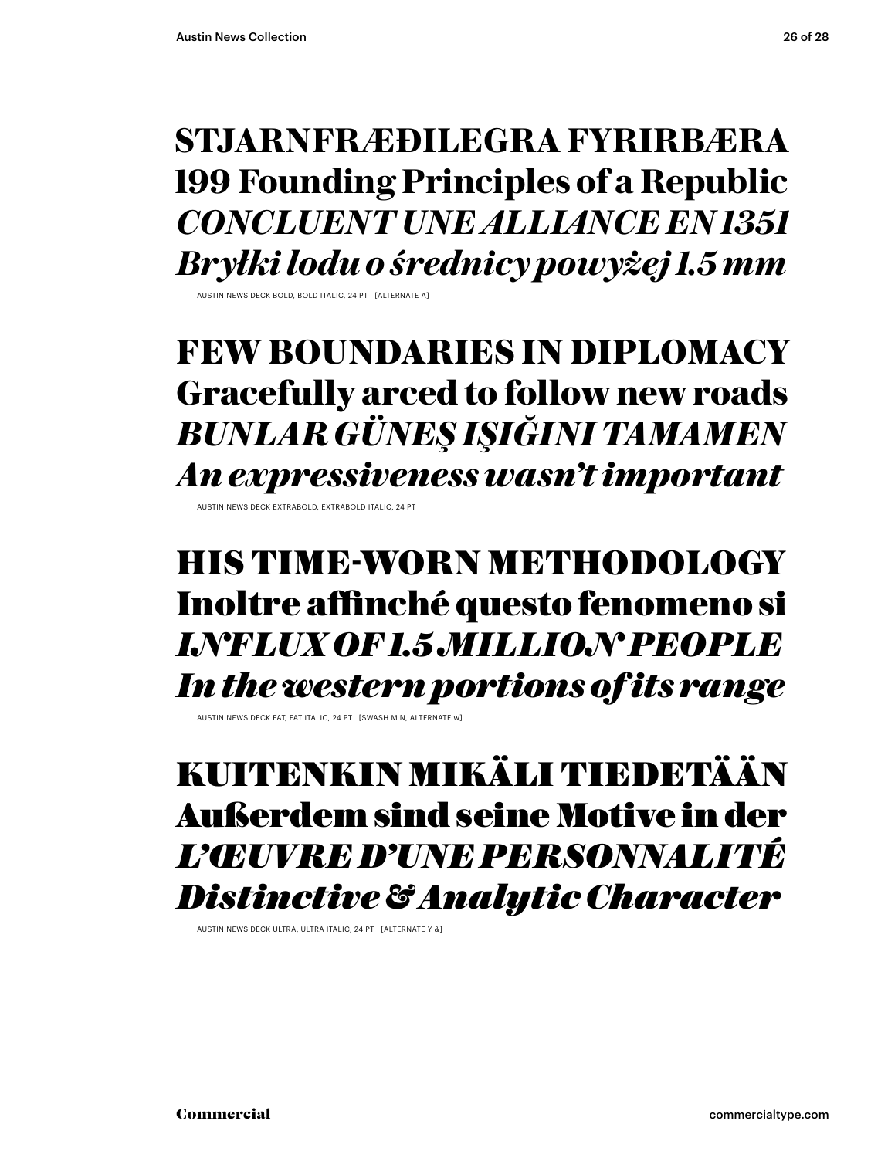### **STJARNFRÆÐILEGRA FYRIRBÆRA 199 Founding Principles of a Republic** *CONCLUENT UNE ALLIANCE EN 1351 Bryłki lodu o średnicy powyżej 1.5 mm*

AUSTIN NEWS DECK BOLD, BOLD ITALIC, 24 PT [ALTERNATE A]

### **FEW BOUNDARIES IN DIPLOMACY Gracefully arced to follow new roads** *BUNLAR GÜNEŞ IŞIĞINI TAMAMEN An expressiveness wasn't important*

AUSTIN NEWS DECK EXTRABOLD, EXTRABOLD ITALIC, 24

### HIS TIME-WORN METHODOLOGY Inoltre affinché questo fenomeno si *INFLUX OF 1.5 MILLION PEOPLE In the western portions of its range*

AUSTIN NEWS DECK FAT, FAT ITALIC, 24 PT [SWASH M N, ALTERNATE w]

### KUITENKIN MIKÄLI TIEDETÄÄN Außerdem sind seine Motive in der *L'ŒUVRE D'UNE PERSONNALITÉ Distinctive & Analytic Character*

AUSTIN NEWS DECK ULTRA, ULTRA ITALIC, 24 PT [ALTERNATE Y &]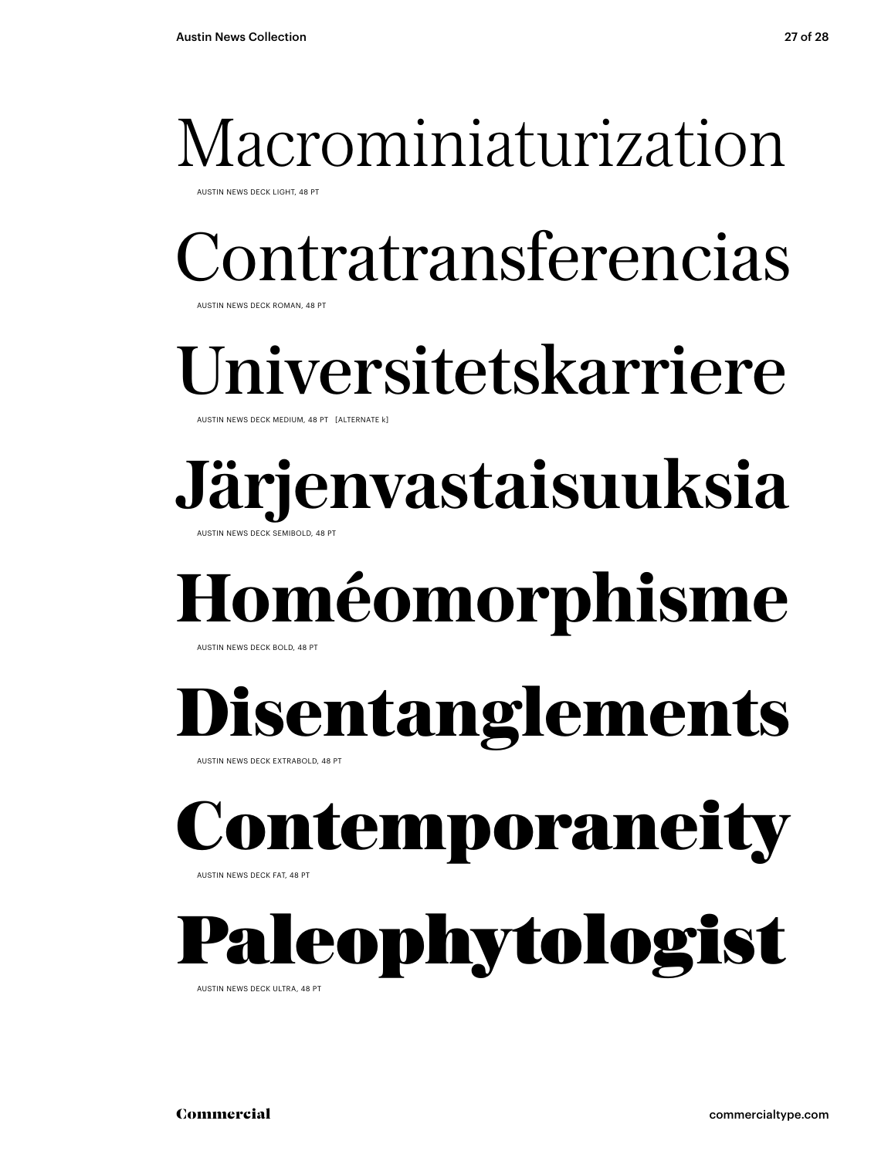## Macrominiaturization

AUSTIN NEWS DECK LIGHT, 48 PT

Contratransferencias

AUSTIN NEWS DECK ROMAN, 48 PT

## niversitetskarriere

AUSTIN NEWS DECK MEDIUM, 48 PT [ALTERNATE k]

### **Järjenvastaisuuksia AUSTIN NEWS DECK SEMIBOLD, 48 PT**

## **Homéomorphisme**

AUSTIN NEWS DECK BOLD, 48 PT

## **Disentanglements**

AUSTIN NEWS DECK EXTRABOLD, 48 PT

## Contemporanei

AUSTIN NEWS DECK FAT, 48 PT

## leophytologist

AUSTIN NEWS DECK ULTRA, 48 PT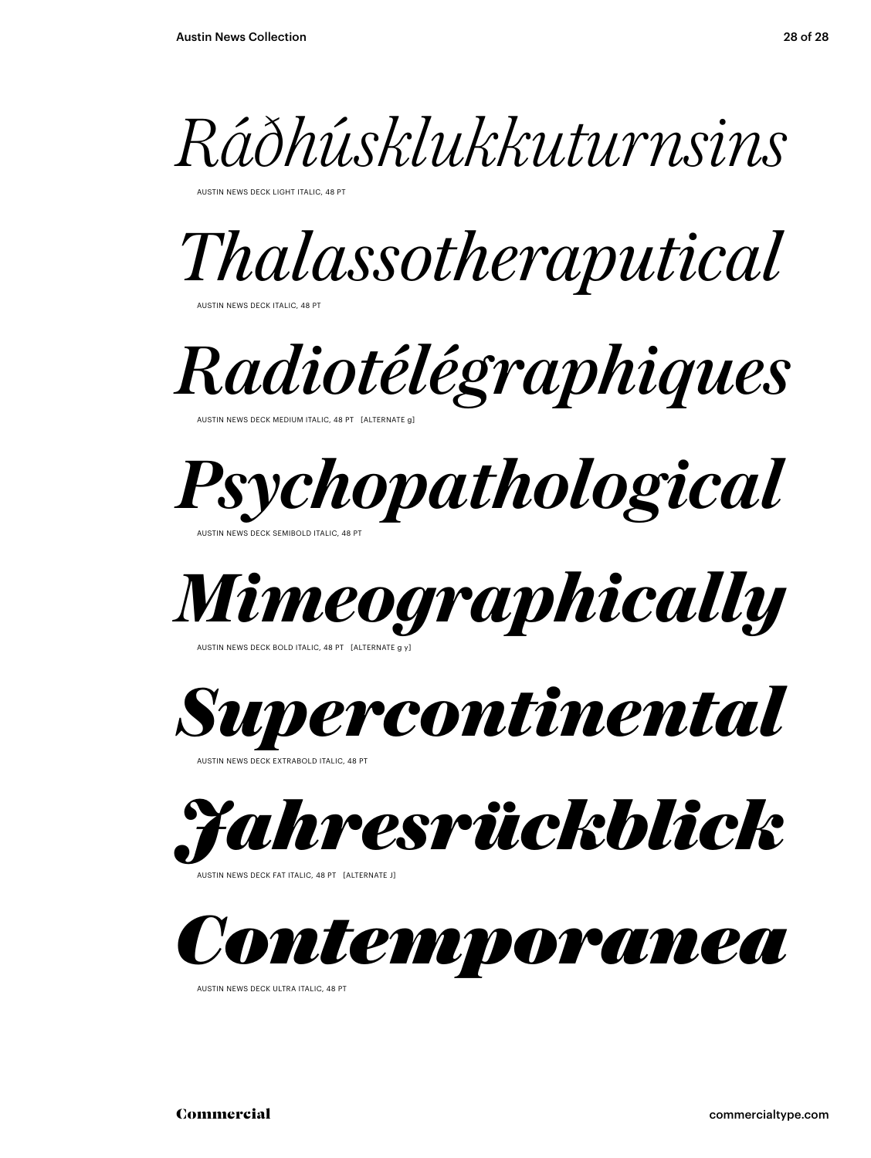

AUSTIN NEWS DECK LIGHT ITALIC, 48 PT

*Thalassotheraputical*

AUSTIN NEWS DECK ITALIC, 48 PT

*Radiotélégraphiques*

AUSTIN NEWS DECK MEDIUM ITALIC, 48 PT. [ALTERNATE c]



AUSTIN NEWS DECK SEMIBOLD ITALIC, 48 PT



AUSTIN NEWS DECK BOLD ITALIC, 48 PT [ALTERNATE

*Supercontinental*

AUSTIN NEWS DECK EXTRABOLD ITALIC, 48 PT



AUSTIN NEWS DECK FAT ITALIC, 48 PT [ALTERNATE J]



AUSTIN NEWS DECK ULTRA ITALIC, 48 PT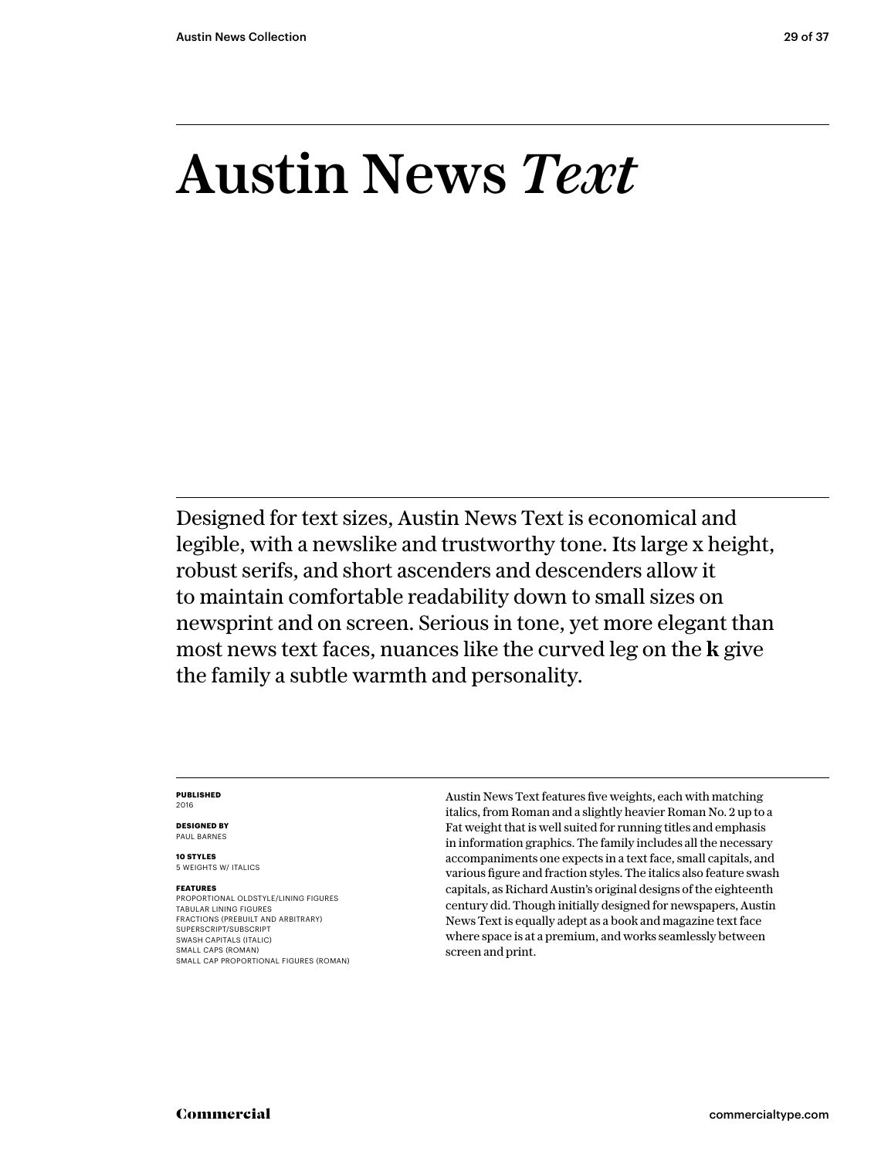## Austin News *Text*

Designed for text sizes, Austin News Text is economical and legible, with a newslike and trustworthy tone. Its large x height, robust serifs, and short ascenders and descenders allow it to maintain comfortable readability down to small sizes on newsprint and on screen. Serious in tone, yet more elegant than most news text faces, nuances like the curved leg on the **k** give the family a subtle warmth and personality.

#### **PUBLISHED** 2016

**DESIGNED BY** PAUL BARNES

**10 STYLES** 5 WEIGHTS W/ ITALICS

#### **FEATURES**

PROPORTIONAL OLDSTYLE/LINING FIGURES TABULAR LINING FIGURES FRACTIONS (PREBUILT AND ARBITRARY) SUPERSCRIPT/SUBSCRIPT SWASH CAPITALS (ITALIC) SMALL CAPS (ROMAN) SMALL CAP PROPORTIONAL FIGURES (ROMAN) Austin News Text features five weights, each with matching italics, from Roman and a slightly heavier Roman No. 2 up to a Fat weight that is well suited for running titles and emphasis in information graphics. The family includes all the necessary accompaniments one expects in a text face, small capitals, and various figure and fraction styles. The italics also feature swash capitals, as Richard Austin's original designs of the eighteenth century did. Though initially designed for newspapers, Austin News Text is equally adept as a book and magazine text face where space is at a premium, and works seamlessly between screen and print.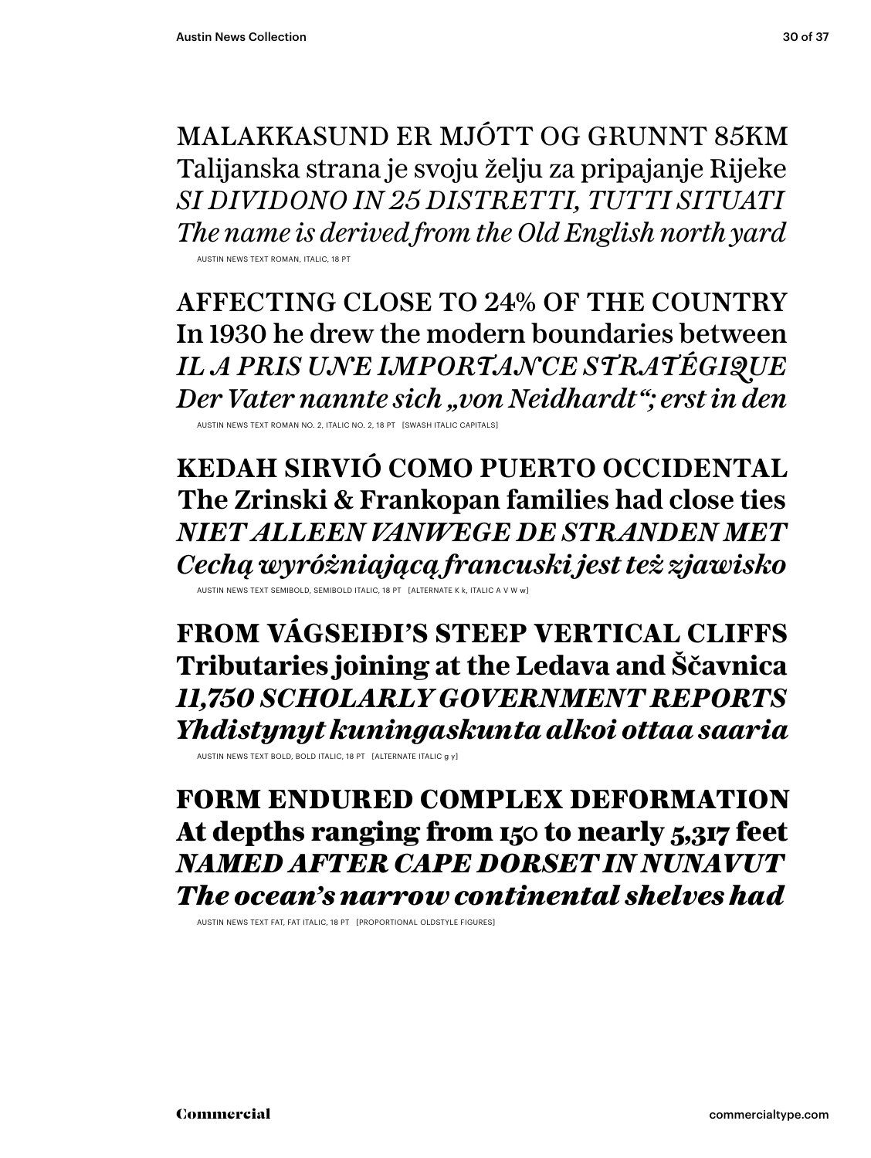MALAKKASUND ER MJÓTT OG GRUNNT 85KM Talijanska strana je svoju želju za pripajanje Rijeke *SI DIVIDONO IN 25 DISTRETTI, TUTTI SITUATI The name is derived from the Old English north yard*

AUSTIN NEWS TEXT ROMAN, ITALIC.

AFFECTING CLOSE TO 24% OF THE COUNTRY In 1930 he drew the modern boundaries between *IL A PRIS UNE IMPORTANCE STRATÉGIQUE Der Vater nannte sich "von Neidhardt"; erst in den*

AUSTIN NEWS TEXT ROMAN NO. 2, ITALIC NO. 2, 18 PT [SWASH ITALIC CAPITALS]

**KEDAH SIRVIÓ COMO PUERTO OCCIDENTAL The Zrinski & Frankopan families had close ties** *NIET ALLEEN VANWEGE DE STRANDEN MET Cechą wyróżniającą francuski jest też zjawisko*

AUSTIN NEWS TEXT SEMIBOLD, SEMIBOLD ITALIC, 18 PT [ALTERNATE K k, ITALIC A V W w]

**FROM VÁGSEIÐI'S STEEP VERTICAL CLIFFS Tributaries joining at the Ledava and Ščavnica** *11,750 SCHOLARLY GOVERNMENT REPORTS Yhdistynyt kuningaskunta alkoi ottaa saaria*

AUSTIN NEWS TEXT BOLD, BOLD ITALIC, 18 PT [ALTERNATE ITALIC g y]

FORM ENDURED COMPLEX DEFORMATION At depths ranging from 150 to nearly 5,317 feet *NAMED AFTER CAPE DORSET IN NUNAVUT The ocean's narrow continental shelves had*

AUSTIN NEWS TEXT FAT, FAT ITALIC, 18 PT [PROPORTIONAL OLDSTYLE FIGURES]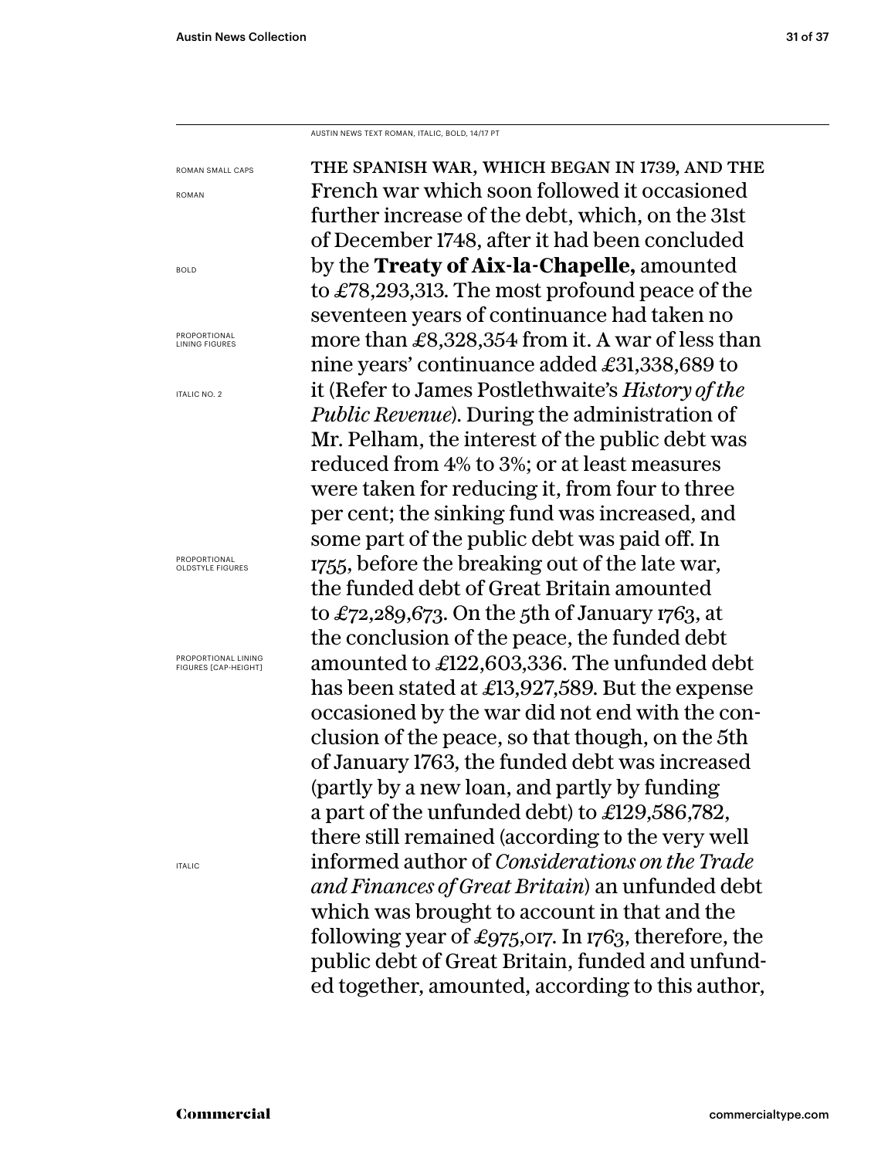AUSTIN NEWS TEXT ROMAN, ITALIC, BOLD, 14/17 PT

the spanish war, which began in 1739, and the French war which soon followed it occasioned further increase of the debt, which, on the 31st of December 1748, after it had been concluded by the **Treaty of Aix-la-Chapelle,** amounted to £78,293,313. The most profound peace of the seventeen years of continuance had taken no more than £8,328,354 from it. A war of less than nine years' continuance added £31,338,689 to it (Refer to James Postlethwaite's *History of the Public Revenue*). During the administration of Mr. Pelham, the interest of the public debt was reduced from 4% to 3%; or at least measures were taken for reducing it, from four to three per cent; the sinking fund was increased, and some part of the public debt was paid off. In 1755, before the breaking out of the late war, the funded debt of Great Britain amounted to £72,289,673. On the 5th of January 1763, at the conclusion of the peace, the funded debt amounted to £122,603,336. The unfunded debt has been stated at £13,927,589. But the expense occasioned by the war did not end with the conclusion of the peace, so that though, on the 5th of January 1763, the funded debt was increased (partly by a new loan, and partly by funding a part of the unfunded debt) to £129,586,782, there still remained (according to the very well informed author of *Considerations on the Trade and Finances of Great Britain*) an unfunded debt which was brought to account in that and the following year of £975,017. In 1763, therefore, the public debt of Great Britain, funded and unfunded together, amounted, according to this author, ROMAN SMALL CAPS ROMAN BOLD PROPORTIONAL LINING FIGURES ITALIC NO. 2 PROPORTIONAL OLDSTYLE FIGURES PROPORTIONAL LINING FIGURES [CAP-HEIGHT]

ITALIC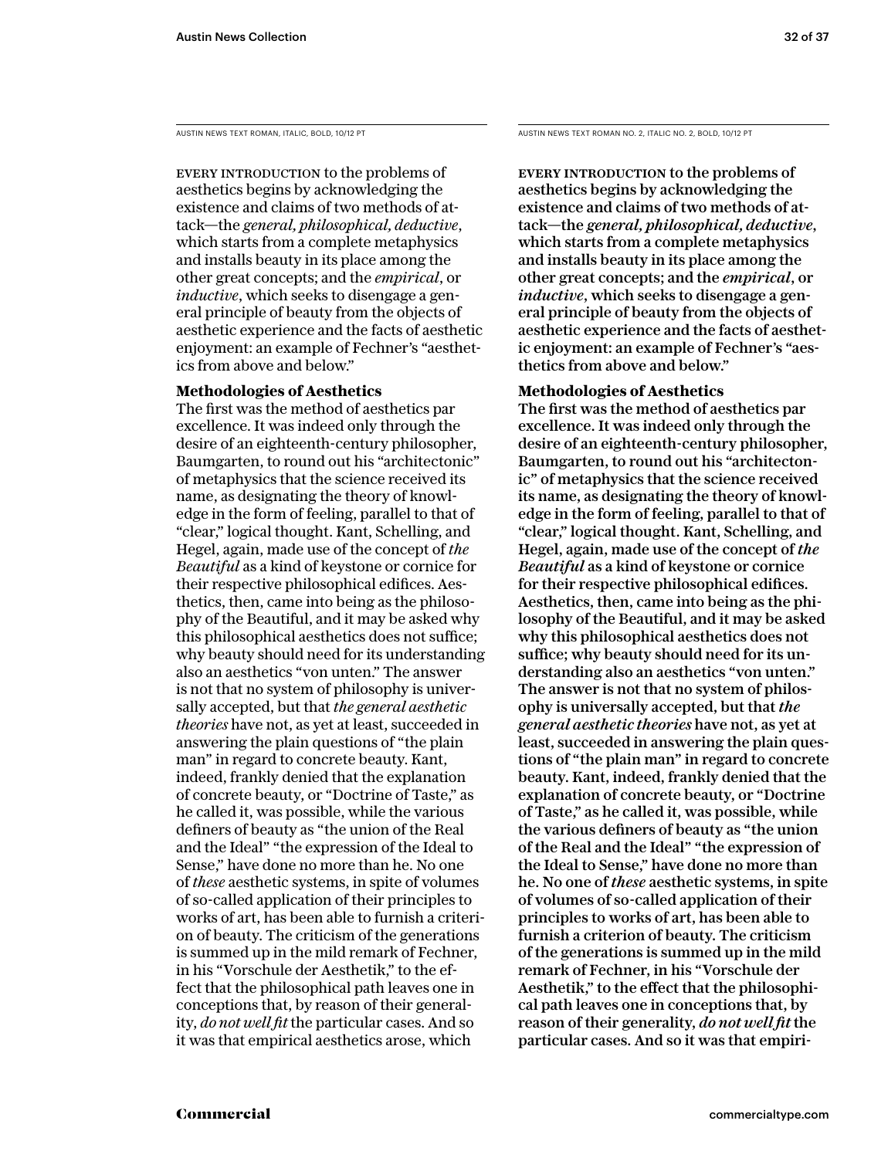EVERY INTRODUCTION to the problems of aesthetics begins by acknowledging the existence and claims of two methods of attack—the *general, philosophical, deductive*, which starts from a complete metaphysics and installs beauty in its place among the other great concepts; and the *empirical*, or *inductive*, which seeks to disengage a general principle of beauty from the objects of aesthetic experience and the facts of aesthetic enjoyment: an example of Fechner's "aesthetics from above and below."

### **Methodologies of Aesthetics**

The first was the method of aesthetics par excellence. It was indeed only through the desire of an eighteenth-century philosopher, Baumgarten, to round out his "architectonic" of metaphysics that the science received its name, as designating the theory of knowledge in the form of feeling, parallel to that of "clear," logical thought. Kant, Schelling, and Hegel, again, made use of the concept of *the Beautiful* as a kind of keystone or cornice for their respective philosophical edifices. Aesthetics, then, came into being as the philosophy of the Beautiful, and it may be asked why this philosophical aesthetics does not suffice; why beauty should need for its understanding also an aesthetics "von unten." The answer is not that no system of philosophy is universally accepted, but that *the general aesthetic theories* have not, as yet at least, succeeded in answering the plain questions of "the plain man" in regard to concrete beauty. Kant, indeed, frankly denied that the explanation of concrete beauty, or "Doctrine of Taste," as he called it, was possible, while the various definers of beauty as "the union of the Real and the Ideal" "the expression of the Ideal to Sense," have done no more than he. No one of *these* aesthetic systems, in spite of volumes of so-called application of their principles to works of art, has been able to furnish a criterion of beauty. The criticism of the generations is summed up in the mild remark of Fechner, in his "Vorschule der Aesthetik," to the effect that the philosophical path leaves one in conceptions that, by reason of their generality, *do not well fit* the particular cases. And so it was that empirical aesthetics arose, which

AUSTIN NEWS TEXT ROMAN, ITALIC, BOLD, 10/12 PT AUSTIN NEWS TEXT ROMAN NO. 2, ITALIC NO. 2, BOLD, 10/12 PT

EVERY INTRODUCTION to the problems of aesthetics begins by acknowledging the existence and claims of two methods of attack—the *general, philosophical, deductive*, which starts from a complete metaphysics and installs beauty in its place among the other great concepts; and the *empirical*, or *inductive*, which seeks to disengage a general principle of beauty from the objects of aesthetic experience and the facts of aesthetic enjoyment: an example of Fechner's "aesthetics from above and below."

### **Methodologies of Aesthetics**

The first was the method of aesthetics par excellence. It was indeed only through the desire of an eighteenth-century philosopher, Baumgarten, to round out his "architectonic" of metaphysics that the science received its name, as designating the theory of knowledge in the form of feeling, parallel to that of "clear," logical thought. Kant, Schelling, and Hegel, again, made use of the concept of *the Beautiful* as a kind of keystone or cornice for their respective philosophical edifices. Aesthetics, then, came into being as the philosophy of the Beautiful, and it may be asked why this philosophical aesthetics does not suffice; why beauty should need for its understanding also an aesthetics "von unten." The answer is not that no system of philosophy is universally accepted, but that *the general aesthetic theories* have not, as yet at least, succeeded in answering the plain questions of "the plain man" in regard to concrete beauty. Kant, indeed, frankly denied that the explanation of concrete beauty, or "Doctrine of Taste," as he called it, was possible, while the various definers of beauty as "the union of the Real and the Ideal" "the expression of the Ideal to Sense," have done no more than he. No one of *these* aesthetic systems, in spite of volumes of so-called application of their principles to works of art, has been able to furnish a criterion of beauty. The criticism of the generations is summed up in the mild remark of Fechner, in his "Vorschule der Aesthetik," to the effect that the philosophical path leaves one in conceptions that, by reason of their generality, *do not well fit* the particular cases. And so it was that empiri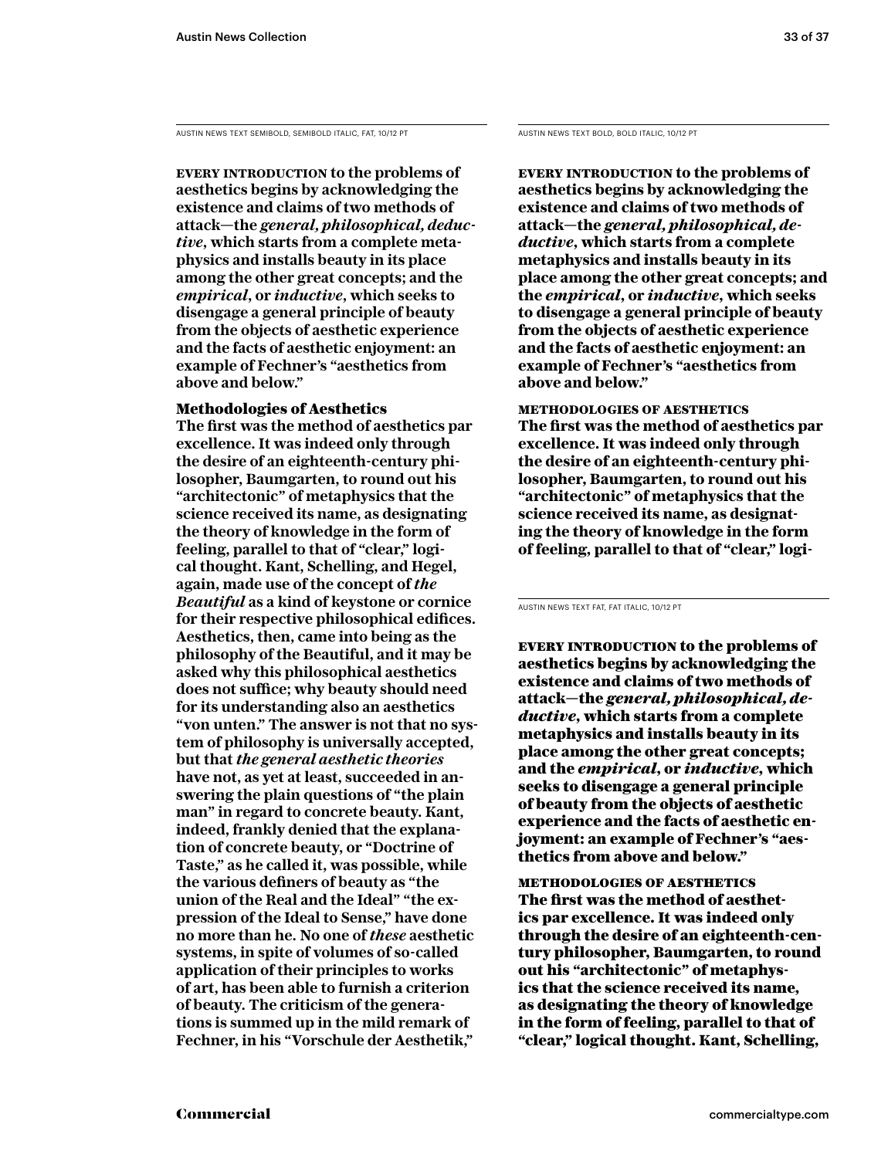AUSTIN NEWS TEXT SEMIBOLD, SEMIBOLD ITALIC, FAT, 10/12 PT AUSTIN NEWS TEXT BOLD, BOLD ITALIC, 10/12 PT

**Every introduction to the problems of aesthetics begins by acknowledging the existence and claims of two methods of attack—the** *general, philosophical, deductive***, which starts from a complete metaphysics and installs beauty in its place among the other great concepts; and the**  *empirical***, or** *inductive***, which seeks to disengage a general principle of beauty from the objects of aesthetic experience and the facts of aesthetic enjoyment: an example of Fechner's "aesthetics from above and below."** 

### Methodologies of Aesthetics

**The first was the method of aesthetics par excellence. It was indeed only through the desire of an eighteenth-century philosopher, Baumgarten, to round out his "architectonic" of metaphysics that the science received its name, as designating the theory of knowledge in the form of feeling, parallel to that of "clear," logical thought. Kant, Schelling, and Hegel, again, made use of the concept of** *the Beautiful* **as a kind of keystone or cornice for their respective philosophical edifices. Aesthetics, then, came into being as the philosophy of the Beautiful, and it may be asked why this philosophical aesthetics does not suffice; why beauty should need for its understanding also an aesthetics "von unten." The answer is not that no system of philosophy is universally accepted, but that** *the general aesthetic theories*  **have not, as yet at least, succeeded in answering the plain questions of "the plain man" in regard to concrete beauty. Kant, indeed, frankly denied that the explanation of concrete beauty, or "Doctrine of Taste," as he called it, was possible, while the various definers of beauty as "the union of the Real and the Ideal" "the expression of the Ideal to Sense," have done no more than he. No one of** *these* **aesthetic systems, in spite of volumes of so-called application of their principles to works of art, has been able to furnish a criterion of beauty. The criticism of the generations is summed up in the mild remark of Fechner, in his "Vorschule der Aesthetik,"** 

**Every introduction to the problems of aesthetics begins by acknowledging the existence and claims of two methods of attack—the** *general, philosophical, deductive***, which starts from a complete metaphysics and installs beauty in its place among the other great concepts; and the** *empirical***, or** *inductive***, which seeks to disengage a general principle of beauty from the objects of aesthetic experience and the facts of aesthetic enjoyment: an example of Fechner's "aesthetics from above and below."** 

**methodologies of aesthetics The first was the method of aesthetics par excellence. It was indeed only through the desire of an eighteenth-century philosopher, Baumgarten, to round out his "architectonic" of metaphysics that the science received its name, as designating the theory of knowledge in the form of feeling, parallel to that of "clear," logi-**

AUSTIN NEWS TEXT FAT, FAT ITALIC, 10/12 PT

EVERY INTRODUCTION to the problems of aesthetics begins by acknowledging the existence and claims of two methods of attack—the *general, philosophical, deductive*, which starts from a complete metaphysics and installs beauty in its place among the other great concepts; and the *empirical*, or *inductive*, which seeks to disengage a general principle of beauty from the objects of aesthetic experience and the facts of aesthetic enjoyment: an example of Fechner's "aesthetics from above and below."

methodologies of aesthetics The first was the method of aesthetics par excellence. It was indeed only through the desire of an eighteenth-century philosopher, Baumgarten, to round out his "architectonic" of metaphysics that the science received its name, as designating the theory of knowledge in the form of feeling, parallel to that of "clear," logical thought. Kant, Schelling,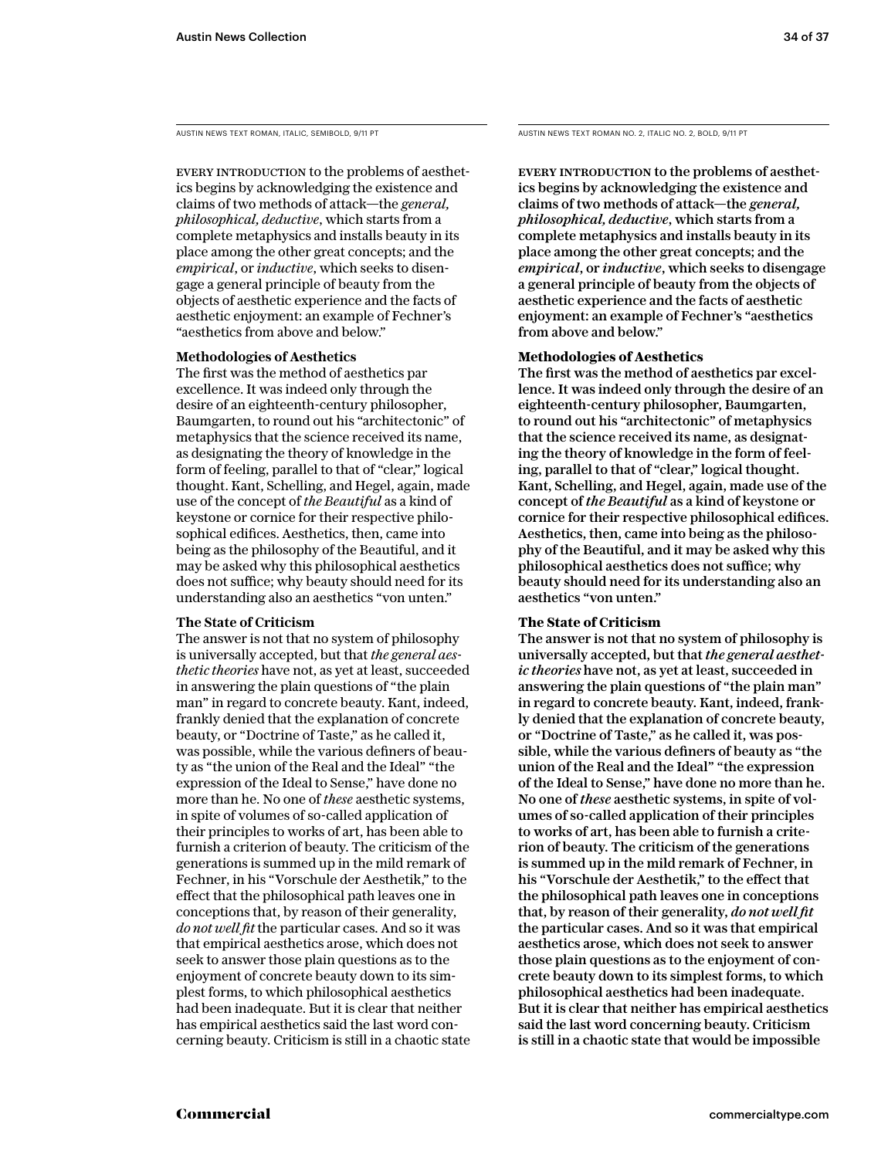AUSTIN NEWS TEXT ROMAN, ITALIC, SEMIBOLD, 9/11 PT

EVERY INTRODUCTION to the problems of aesthetics begins by acknowledging the existence and claims of two methods of attack—the *general, philosophical, deductive*, which starts from a complete metaphysics and installs beauty in its place among the other great concepts; and the *empirical*, or *inductive*, which seeks to disengage a general principle of beauty from the objects of aesthetic experience and the facts of aesthetic enjoyment: an example of Fechner's "aesthetics from above and below."

#### **Methodologies of Aesthetics**

The first was the method of aesthetics par excellence. It was indeed only through the desire of an eighteenth-century philosopher, Baumgarten, to round out his "architectonic" of metaphysics that the science received its name, as designating the theory of knowledge in the form of feeling, parallel to that of "clear," logical thought. Kant, Schelling, and Hegel, again, made use of the concept of *the Beautiful* as a kind of keystone or cornice for their respective philosophical edifices. Aesthetics, then, came into being as the philosophy of the Beautiful, and it may be asked why this philosophical aesthetics does not suffice; why beauty should need for its understanding also an aesthetics "von unten."

### **The State of Criticism**

The answer is not that no system of philosophy is universally accepted, but that *the general aesthetic theories* have not, as yet at least, succeeded in answering the plain questions of "the plain man" in regard to concrete beauty. Kant, indeed, frankly denied that the explanation of concrete beauty, or "Doctrine of Taste," as he called it, was possible, while the various definers of beauty as "the union of the Real and the Ideal" "the expression of the Ideal to Sense," have done no more than he. No one of *these* aesthetic systems, in spite of volumes of so-called application of their principles to works of art, has been able to furnish a criterion of beauty. The criticism of the generations is summed up in the mild remark of Fechner, in his "Vorschule der Aesthetik," to the effect that the philosophical path leaves one in conceptions that, by reason of their generality, *do not well fit* the particular cases. And so it was that empirical aesthetics arose, which does not seek to answer those plain questions as to the enjoyment of concrete beauty down to its simplest forms, to which philosophical aesthetics had been inadequate. But it is clear that neither has empirical aesthetics said the last word concerning beauty. Criticism is still in a chaotic state AUSTIN NEWS TEXT ROMAN NO. 2, ITALIC NO. 2, BOLD, 9/11 PT

EVERY INTRODUCTION to the problems of aesthetics begins by acknowledging the existence and claims of two methods of attack—the *general, philosophical, deductive*, which starts from a complete metaphysics and installs beauty in its place among the other great concepts; and the *empirical*, or *inductive*, which seeks to disengage a general principle of beauty from the objects of aesthetic experience and the facts of aesthetic enjoyment: an example of Fechner's "aesthetics from above and below."

### **Methodologies of Aesthetics**

The first was the method of aesthetics par excellence. It was indeed only through the desire of an eighteenth-century philosopher, Baumgarten, to round out his "architectonic" of metaphysics that the science received its name, as designating the theory of knowledge in the form of feeling, parallel to that of "clear," logical thought. Kant, Schelling, and Hegel, again, made use of the concept of *the Beautiful* as a kind of keystone or cornice for their respective philosophical edifices. Aesthetics, then, came into being as the philosophy of the Beautiful, and it may be asked why this philosophical aesthetics does not suffice; why beauty should need for its understanding also an aesthetics "von unten."

### **The State of Criticism**

The answer is not that no system of philosophy is universally accepted, but that *the general aesthetic theories* have not, as yet at least, succeeded in answering the plain questions of "the plain man" in regard to concrete beauty. Kant, indeed, frankly denied that the explanation of concrete beauty, or "Doctrine of Taste," as he called it, was possible, while the various definers of beauty as "the union of the Real and the Ideal" "the expression of the Ideal to Sense," have done no more than he. No one of *these* aesthetic systems, in spite of volumes of so-called application of their principles to works of art, has been able to furnish a criterion of beauty. The criticism of the generations is summed up in the mild remark of Fechner, in his "Vorschule der Aesthetik," to the effect that the philosophical path leaves one in conceptions that, by reason of their generality, *do not well fit*  the particular cases. And so it was that empirical aesthetics arose, which does not seek to answer those plain questions as to the enjoyment of concrete beauty down to its simplest forms, to which philosophical aesthetics had been inadequate. But it is clear that neither has empirical aesthetics said the last word concerning beauty. Criticism is still in a chaotic state that would be impossible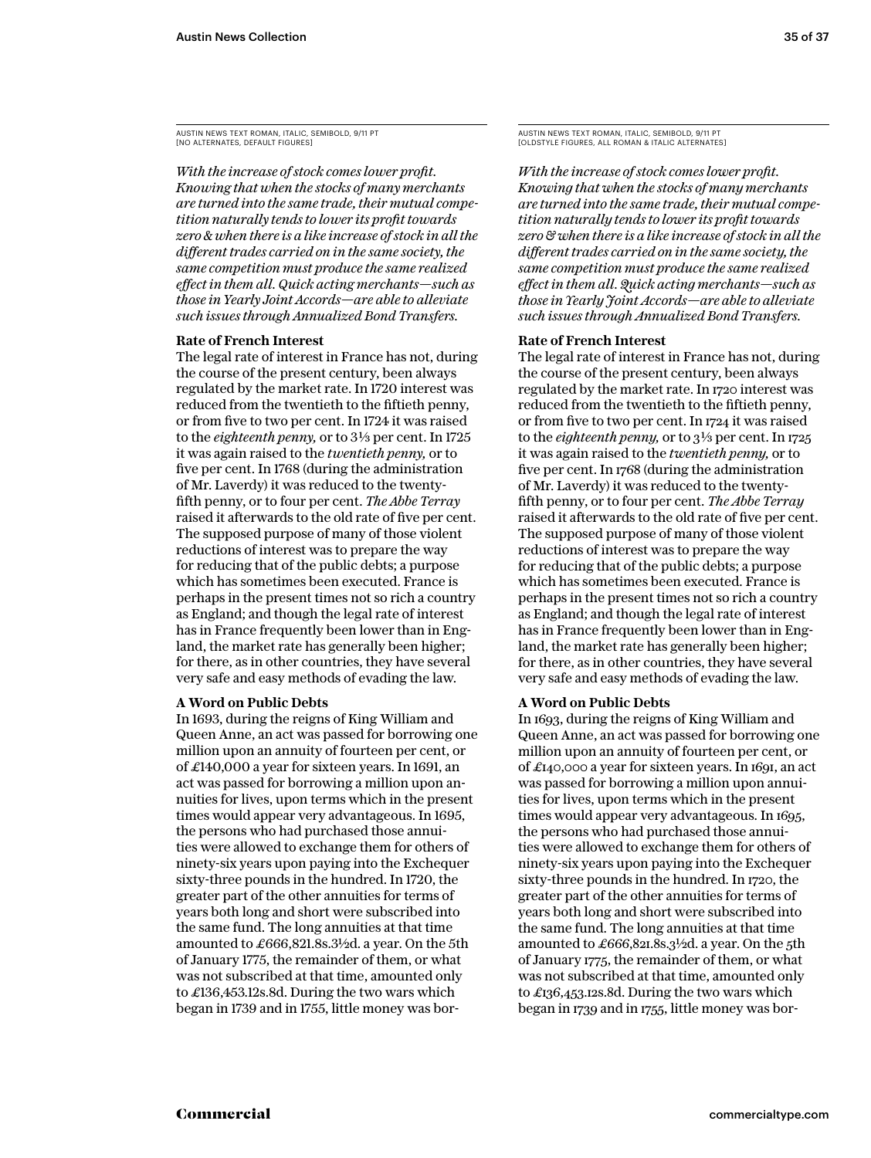*With the increase of stock comes lower profit. Knowing that when the stocks of many merchants are turned into the same trade, their mutual competition naturally tends to lower its profit towards zero & when there is a like increase of stock in all the different trades carried on in the same society, the same competition must produce the same realized effect in them all. Quick acting merchants—such as those in Yearly Joint Accords—are able to alleviate such issues through Annualized Bond Transfers.*

#### **Rate of French Interest**

The legal rate of interest in France has not, during the course of the present century, been always regulated by the market rate. In 1720 interest was reduced from the twentieth to the fiftieth penny, or from five to two per cent. In 1724 it was raised to the *eighteenth penny*, or to 3<sup>1</sup>/<sub>3</sub> per cent. In 1725 it was again raised to the *twentieth penny,* or to five per cent. In 1768 (during the administration of Mr. Laverdy) it was reduced to the twentyfifth penny, or to four per cent. *The Abbe Terray* raised it afterwards to the old rate of five per cent. The supposed purpose of many of those violent reductions of interest was to prepare the way for reducing that of the public debts; a purpose which has sometimes been executed. France is perhaps in the present times not so rich a country as England; and though the legal rate of interest has in France frequently been lower than in England, the market rate has generally been higher; for there, as in other countries, they have several very safe and easy methods of evading the law.

#### **A Word on Public Debts**

In 1693, during the reigns of King William and Queen Anne, an act was passed for borrowing one million upon an annuity of fourteen per cent, or of £140,000 a year for sixteen years. In 1691, an act was passed for borrowing a million upon annuities for lives, upon terms which in the present times would appear very advantageous. In 1695, the persons who had purchased those annuities were allowed to exchange them for others of ninety-six years upon paying into the Exchequer sixty-three pounds in the hundred. In 1720, the greater part of the other annuities for terms of years both long and short were subscribed into the same fund. The long annuities at that time amounted to £666,821.8s.3½d. a year. On the 5th of January 1775, the remainder of them, or what was not subscribed at that time, amounted only to £136,453.12s.8d. During the two wars which began in 1739 and in 1755, little money was borAUSTIN NEWS TEXT ROMAN, ITALIC, SEMIBOLD, 9/11 PT [OLDSTYLE FIGURES, ALL ROMAN & ITALIC ALTERNATES]

*With the increase of stock comes lower profit. Knowing that when the stocks of many merchants are turned into the same trade, their mutual competition naturally tends to lower its profit towards zero & when there is a like increase of stock in all the different trades carried on in the same society, the same competition must produce the same realized effect in them all. Quick acting merchants—such as those in Yearly Joint Accords—are able to alleviate such issues through Annualized Bond Transfers.*

#### **Rate of French Interest**

The legal rate of interest in France has not, during the course of the present century, been always regulated by the market rate. In 1720 interest was reduced from the twentieth to the fiftieth penny, or from five to two per cent. In 1724 it was raised to the *eighteenth penny*, or to  $3\frac{1}{3}$  per cent. In 1725 it was again raised to the *twentieth penny,* or to five per cent. In 1768 (during the administration of Mr. Laverdy) it was reduced to the twentyfifth penny, or to four per cent. *The Abbe Terray* raised it afterwards to the old rate of five per cent. The supposed purpose of many of those violent reductions of interest was to prepare the way for reducing that of the public debts; a purpose which has sometimes been executed. France is perhaps in the present times not so rich a country as England; and though the legal rate of interest has in France frequently been lower than in England, the market rate has generally been higher; for there, as in other countries, they have several very safe and easy methods of evading the law.

#### **A Word on Public Debts**

In 1693, during the reigns of King William and Queen Anne, an act was passed for borrowing one million upon an annuity of fourteen per cent, or of £140,000 a year for sixteen years. In 1691, an act was passed for borrowing a million upon annuities for lives, upon terms which in the present times would appear very advantageous. In 1695, the persons who had purchased those annuities were allowed to exchange them for others of ninety-six years upon paying into the Exchequer sixty-three pounds in the hundred. In 1720, the greater part of the other annuities for terms of years both long and short were subscribed into the same fund. The long annuities at that time amounted to £666,821.8s.3½d. a year. On the 5th of January 1775, the remainder of them, or what was not subscribed at that time, amounted only to £136,453.12s.8d. During the two wars which began in 1739 and in 1755, little money was bor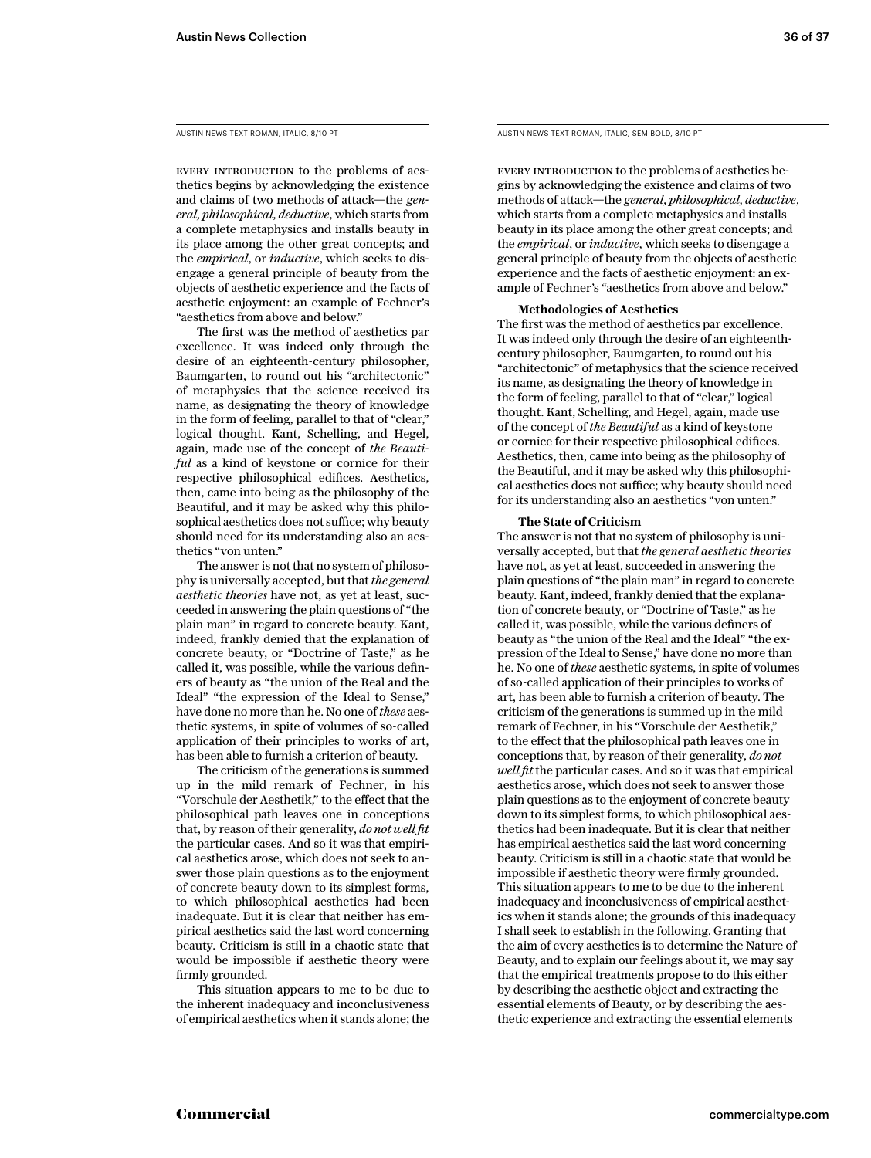AUSTIN NEWS TEXT ROMAN, ITALIC, 8/10 PT

EVERY INTRODUCTION to the problems of aesthetics begins by acknowledging the existence and claims of two methods of attack—the *general, philosophical, deductive*, which starts from a complete metaphysics and installs beauty in its place among the other great concepts; and the *empirical*, or *inductive*, which seeks to disengage a general principle of beauty from the objects of aesthetic experience and the facts of aesthetic enjoyment: an example of Fechner's "aesthetics from above and below."

The first was the method of aesthetics par excellence. It was indeed only through the desire of an eighteenth-century philosopher, Baumgarten, to round out his "architectonic" of metaphysics that the science received its name, as designating the theory of knowledge in the form of feeling, parallel to that of "clear," logical thought. Kant, Schelling, and Hegel, again, made use of the concept of *the Beautiful* as a kind of keystone or cornice for their respective philosophical edifices. Aesthetics, then, came into being as the philosophy of the Beautiful, and it may be asked why this philosophical aesthetics does not suffice; why beauty should need for its understanding also an aesthetics "von unten."

The answer is not that no system of philosophy is universally accepted, but that *the general aesthetic theories* have not, as yet at least, succeeded in answering the plain questions of "the plain man" in regard to concrete beauty. Kant, indeed, frankly denied that the explanation of concrete beauty, or "Doctrine of Taste," as he called it, was possible, while the various definers of beauty as "the union of the Real and the Ideal" "the expression of the Ideal to Sense," have done no more than he. No one of *these* aesthetic systems, in spite of volumes of so-called application of their principles to works of art, has been able to furnish a criterion of beauty.

The criticism of the generations is summed up in the mild remark of Fechner, in his "Vorschule der Aesthetik," to the effect that the philosophical path leaves one in conceptions that, by reason of their generality, *do not well fit*  the particular cases. And so it was that empirical aesthetics arose, which does not seek to answer those plain questions as to the enjoyment of concrete beauty down to its simplest forms, to which philosophical aesthetics had been inadequate. But it is clear that neither has empirical aesthetics said the last word concerning beauty. Criticism is still in a chaotic state that would be impossible if aesthetic theory were firmly grounded.

This situation appears to me to be due to the inherent inadequacy and inconclusiveness of empirical aesthetics when it stands alone; the AUSTIN NEWS TEXT ROMAN, ITALIC, SEMIBOLD, 8/10 PT

Every introduction to the problems of aesthetics begins by acknowledging the existence and claims of two methods of attack—the *general, philosophical, deductive*, which starts from a complete metaphysics and installs beauty in its place among the other great concepts; and the *empirical*, or *inductive*, which seeks to disengage a general principle of beauty from the objects of aesthetic experience and the facts of aesthetic enjoyment: an example of Fechner's "aesthetics from above and below."

#### **Methodologies of Aesthetics**

The first was the method of aesthetics par excellence. It was indeed only through the desire of an eighteenthcentury philosopher, Baumgarten, to round out his "architectonic" of metaphysics that the science received its name, as designating the theory of knowledge in the form of feeling, parallel to that of "clear," logical thought. Kant, Schelling, and Hegel, again, made use of the concept of *the Beautiful* as a kind of keystone or cornice for their respective philosophical edifices. Aesthetics, then, came into being as the philosophy of the Beautiful, and it may be asked why this philosophical aesthetics does not suffice; why beauty should need for its understanding also an aesthetics "von unten."

#### **The State of Criticism**

The answer is not that no system of philosophy is universally accepted, but that *the general aesthetic theories*  have not, as yet at least, succeeded in answering the plain questions of "the plain man" in regard to concrete beauty. Kant, indeed, frankly denied that the explanation of concrete beauty, or "Doctrine of Taste," as he called it, was possible, while the various definers of beauty as "the union of the Real and the Ideal" "the expression of the Ideal to Sense," have done no more than he. No one of *these* aesthetic systems, in spite of volumes of so-called application of their principles to works of art, has been able to furnish a criterion of beauty. The criticism of the generations is summed up in the mild remark of Fechner, in his "Vorschule der Aesthetik," to the effect that the philosophical path leaves one in conceptions that, by reason of their generality, *do not well fit* the particular cases. And so it was that empirical aesthetics arose, which does not seek to answer those plain questions as to the enjoyment of concrete beauty down to its simplest forms, to which philosophical aesthetics had been inadequate. But it is clear that neither has empirical aesthetics said the last word concerning beauty. Criticism is still in a chaotic state that would be impossible if aesthetic theory were firmly grounded. This situation appears to me to be due to the inherent inadequacy and inconclusiveness of empirical aesthetics when it stands alone; the grounds of this inadequacy I shall seek to establish in the following. Granting that the aim of every aesthetics is to determine the Nature of Beauty, and to explain our feelings about it, we may say that the empirical treatments propose to do this either by describing the aesthetic object and extracting the essential elements of Beauty, or by describing the aesthetic experience and extracting the essential elements